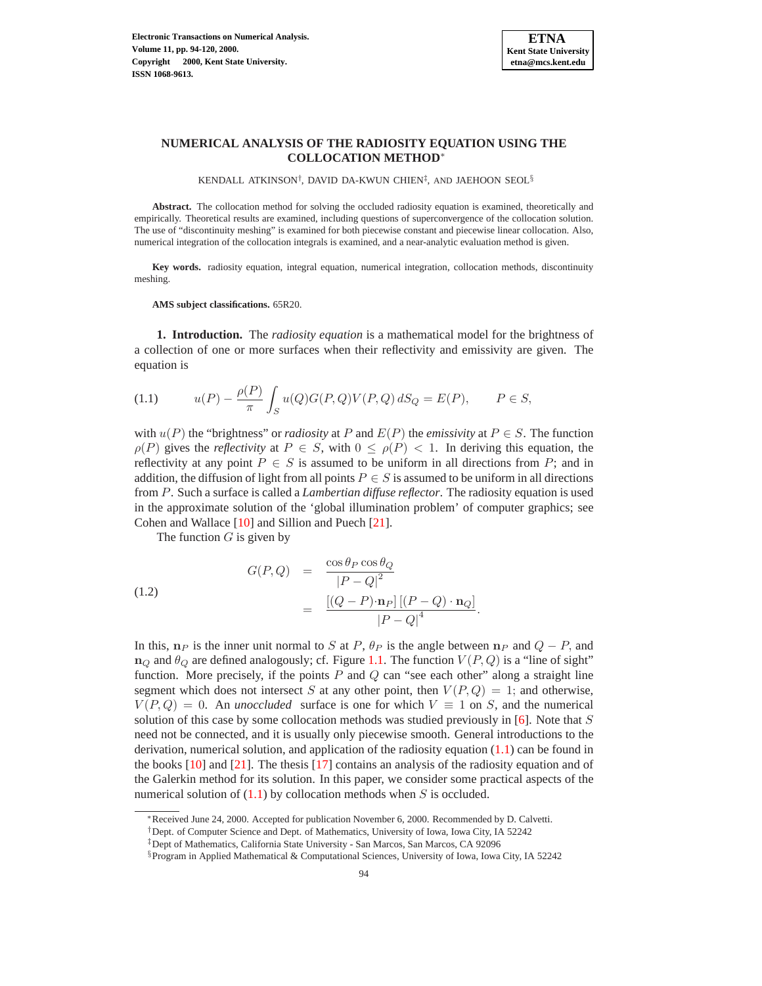

# **NUMERICAL ANALYSIS OF THE RADIOSITY EQUATION USING THE COLLOCATION METHOD**<sup>∗</sup>

KENDALL ATKINSON†, DAVID DA-KWUN CHIEN‡, AND JAEHOON SEOL§

**Abstract.** The collocation method for solving the occluded radiosity equation is examined, theoretically and empirically. Theoretical results are examined, including questions of superconvergence of the collocation solution. The use of "discontinuity meshing" is examined for both piecewise constant and piecewise linear collocation. Also, numerical integration of the collocation integrals is examined, and a near-analytic evaluation method is given.

**Key words.** radiosity equation, integral equation, numerical integration, collocation methods, discontinuity meshing.

#### **AMS subject classifications.** 65R20.

**1. Introduction.** The *radiosity equation* is a mathematical model for the brightness of a collection of one or more surfaces when their reflectivity and emissivity are given. The equation is

<span id="page-0-0"></span>(1.1) 
$$
u(P) - \frac{\rho(P)}{\pi} \int_{S} u(Q)G(P,Q)V(P,Q) dS_{Q} = E(P), \qquad P \in S,
$$

with  $u(P)$  the "brightness" or *radiosity* at P and  $E(P)$  the *emissivity* at  $P \in S$ . The function  $\rho(P)$  gives the *reflectivity* at  $P \in S$ , with  $0 \leq \rho(P) < 1$ . In deriving this equation, the reflectivity at any point  $P \in S$  is assumed to be uniform in all directions from P; and in addition, the diffusion of light from all points  $P \in S$  is assumed to be uniform in all directions from P. Such a surface is called a *Lambertian diffuse reflector*. The radiosity equation is used in the approximate solution of the 'global illumination problem' of computer graphics; see Cohen and Wallace [\[10\]](#page-26-0) and Sillion and Puech [\[21\]](#page-26-1).

The function  $G$  is given by

<span id="page-0-1"></span>(1.2)  

$$
G(P,Q) = \frac{\cos \theta_P \cos \theta_Q}{|P-Q|^2}
$$

$$
= \frac{\left[ (Q-P)\cdot \mathbf{n}_P \right] \left[ (P-Q)\cdot \mathbf{n}_Q \right]}{|P-Q|^4}.
$$

In this,  $n_P$  is the inner unit normal to S at P,  $\theta_P$  is the angle between  $n_P$  and  $Q - P$ , and  $n_Q$  and  $\theta_Q$  are defined analogously; cf. Figure [1.1.](#page-1-0) The function  $V(P,Q)$  is a "line of sight" function. More precisely, if the points  $P$  and  $Q$  can "see each other" along a straight line segment which does not intersect S at any other point, then  $V(P,Q) = 1$ ; and otherwise,  $V(P,Q)=0$ . An *unoccluded* surface is one for which  $V \equiv 1$  on S, and the numerical solution of this case by some collocation methods was studied previously in  $[6]$ . Note that S need not be connected, and it is usually only piecewise smooth. General introductions to the derivation, numerical solution, and application of the radiosity equation [\(1.1\)](#page-0-0) can be found in the books [\[10\]](#page-26-0) and [\[21\]](#page-26-1). The thesis [\[17\]](#page-26-3) contains an analysis of the radiosity equation and of the Galerkin method for its solution. In this paper, we consider some practical aspects of the numerical solution of  $(1.1)$  by collocation methods when S is occluded.

<sup>∗</sup>Received June 24, 2000. Accepted for publication November 6, 2000. Recommended by D. Calvetti.

<sup>†</sup>Dept. of Computer Science and Dept. of Mathematics, University of Iowa, Iowa City, IA 52242

<sup>‡</sup>Dept of Mathematics, California State University - San Marcos, San Marcos, CA 92096

<sup>§</sup>Program in Applied Mathematical & Computational Sciences, University of Iowa, Iowa City, IA 52242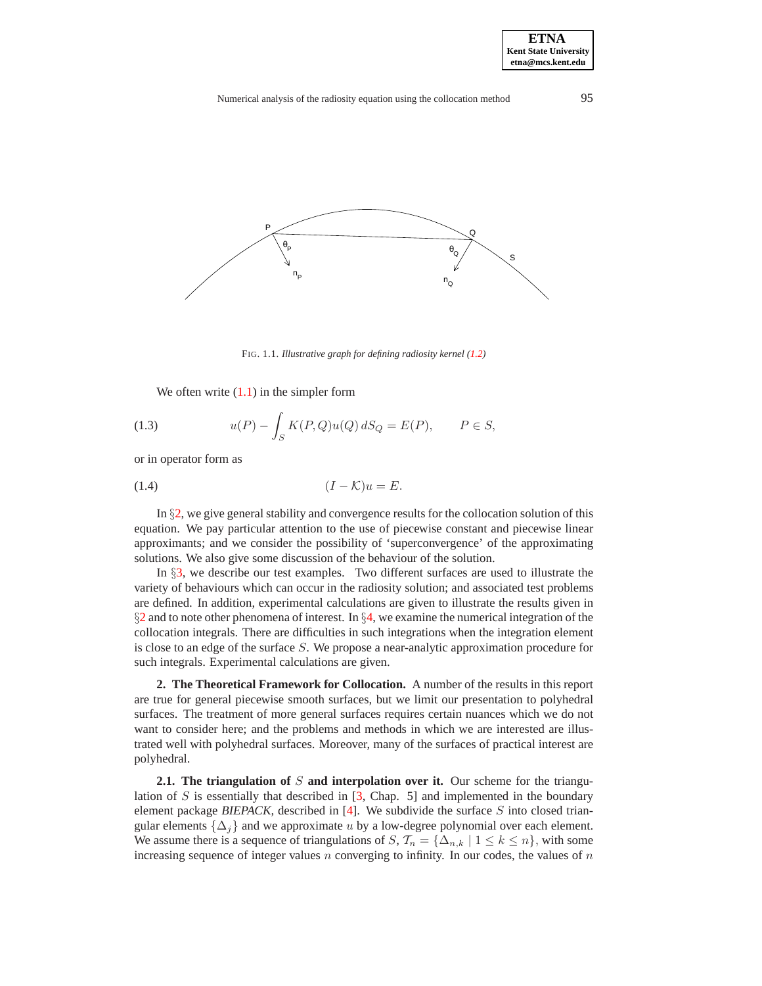

FIG. 1.1. *Illustrative graph for defining radiosity kernel [\(1.2\)](#page-0-1)*

<span id="page-1-0"></span>We often write  $(1.1)$  in the simpler form

(1.3) 
$$
u(P) - \int_{S} K(P,Q)u(Q) dS_{Q} = E(P), \qquad P \in S,
$$

or in operator form as

<span id="page-1-2"></span>
$$
(1.4) \t\t\t (I - \mathcal{K})u = E.
$$

In §[2,](#page-1-1) we give general stability and convergence results for the collocation solution of this equation. We pay particular attention to the use of piecewise constant and piecewise linear approximants; and we consider the possibility of 'superconvergence' of the approximating solutions. We also give some discussion of the behaviour of the solution.

In §[3,](#page-11-0) we describe our test examples. Two different surfaces are used to illustrate the variety of behaviours which can occur in the radiosity solution; and associated test problems are defined. In addition, experimental calculations are given to illustrate the results given in  $\S$ [2](#page-1-1) and to note other phenomena of interest. In  $\S$ [4,](#page-18-0) we examine the numerical integration of the collocation integrals. There are difficulties in such integrations when the integration element is close to an edge of the surface  $S$ . We propose a near-analytic approximation procedure for such integrals. Experimental calculations are given.

<span id="page-1-1"></span>**2. The Theoretical Framework for Collocation.** A number of the results in this report are true for general piecewise smooth surfaces, but we limit our presentation to polyhedral surfaces. The treatment of more general surfaces requires certain nuances which we do not want to consider here; and the problems and methods in which we are interested are illustrated well with polyhedral surfaces. Moreover, many of the surfaces of practical interest are polyhedral.

**2.1. The triangulation of** S **and interpolation over it.** Our scheme for the triangulation of  $S$  is essentially that described in  $[3,$  Chap. 5] and implemented in the boundary element package *BIEPACK,* described in [\[4\]](#page-25-1). We subdivide the surface S into closed triangular elements  $\{\Delta_i\}$  and we approximate u by a low-degree polynomial over each element. We assume there is a sequence of triangulations of  $S, \mathcal{T}_n = {\Delta_{n,k} | 1 \leq k \leq n}$ , with some increasing sequence of integer values  $n$  converging to infinity. In our codes, the values of  $n$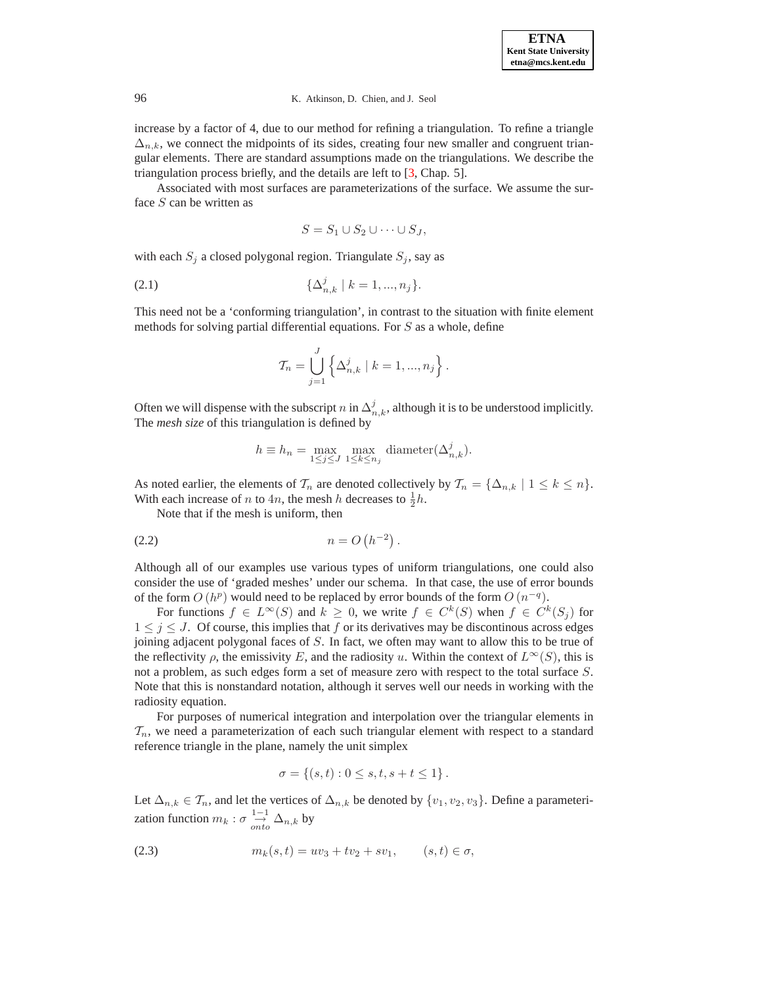increase by a factor of 4, due to our method for refining a triangulation. To refine a triangle  $\Delta_{n,k}$ , we connect the midpoints of its sides, creating four new smaller and congruent triangular elements. There are standard assumptions made on the triangulations. We describe the triangulation process briefly, and the details are left to [\[3,](#page-25-0) Chap. 5].

Associated with most surfaces are parameterizations of the surface. We assume the surface  $S$  can be written as

$$
S = S_1 \cup S_2 \cup \cdots \cup S_J,
$$

with each  $S_j$  a closed polygonal region. Triangulate  $S_j$ , say as

(2.1) 
$$
\{\Delta_{n,k}^j \mid k = 1, ..., n_j\}.
$$

This need not be a 'conforming triangulation', in contrast to the situation with finite element methods for solving partial differential equations. For S as a whole, define

$$
\mathcal{T}_n = \bigcup_{j=1}^J \left\{ \Delta_{n,k}^j \; | \; k = 1, ..., n_j \right\}.
$$

Often we will dispense with the subscript n in  $\Delta_{n,k}^j$ , although it is to be understood implicitly. The *mesh size* of this triangulation is defined by

$$
h \equiv h_n = \max_{1 \leq j \leq J} \max_{1 \leq k \leq n_j} \text{diameter}(\Delta^j_{n,k}).
$$

As noted earlier, the elements of  $\mathcal{T}_n$  are denoted collectively by  $\mathcal{T}_n = {\Delta_{n,k} | 1 \leq k \leq n}.$ With each increase of *n* to  $4n$ , the mesh *h* decreases to  $\frac{1}{2}h$ .

Note that if the mesh is uniform, then

$$
(2.2) \t n = O(h^{-2}).
$$

Although all of our examples use various types of uniform triangulations, one could also consider the use of 'graded meshes' under our schema. In that case, the use of error bounds of the form  $O(h^p)$  would need to be replaced by error bounds of the form  $O(n^{-q})$ .

For functions  $f \in L^{\infty}(S)$  and  $k \geq 0$ , we write  $f \in C^{k}(S)$  when  $f \in C^{k}(S_{i})$  for  $1 \leq j \leq J$ . Of course, this implies that f or its derivatives may be discontinous across edges joining adjacent polygonal faces of S. In fact, we often may want to allow this to be true of the reflectivity  $\rho$ , the emissivity E, and the radiosity u. Within the context of  $L^{\infty}(S)$ , this is not a problem, as such edges form a set of measure zero with respect to the total surface S. Note that this is nonstandard notation, although it serves well our needs in working with the radiosity equation.

For purposes of numerical integration and interpolation over the triangular elements in  $\mathcal{T}_n$ , we need a parameterization of each such triangular element with respect to a standard reference triangle in the plane, namely the unit simplex

$$
\sigma = \{(s, t) : 0 \le s, t, s + t \le 1\}.
$$

Let  $\Delta_{n,k} \in \mathcal{T}_n$ , and let the vertices of  $\Delta_{n,k}$  be denoted by  $\{v_1, v_2, v_3\}$ . Define a parameterization function  $m_k : \sigma \stackrel{1-1}{\rightarrow} \Delta_{n,k}$  by

(2.3) 
$$
m_k(s,t) = uv_3 + tv_2 + sv_1, \qquad (s,t) \in \sigma,
$$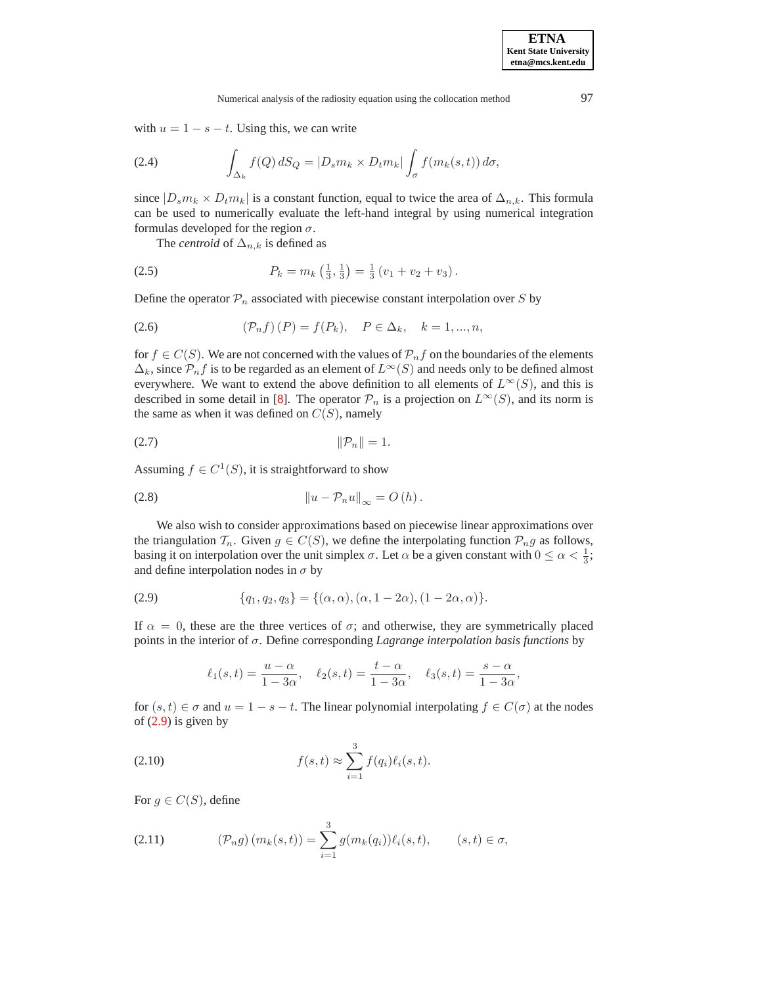with  $u = 1 - s - t$ . Using this, we can write

(2.4) 
$$
\int_{\Delta_k} f(Q) dS_Q = |D_s m_k \times D_t m_k| \int_{\sigma} f(m_k(s, t)) d\sigma,
$$

since  $|D_s m_k \times D_t m_k|$  is a constant function, equal to twice the area of  $\Delta_{n,k}$ . This formula can be used to numerically evaluate the left-hand integral by using numerical integration formulas developed for the region  $\sigma$ .

The *centroid* of  $\Delta_{n,k}$  is defined as

(2.5) 
$$
P_k = m_k \left(\frac{1}{3}, \frac{1}{3}\right) = \frac{1}{3} \left(v_1 + v_2 + v_3\right).
$$

Define the operator  $P_n$  associated with piecewise constant interpolation over S by

<span id="page-3-2"></span>(2.6) 
$$
(\mathcal{P}_n f)(P) = f(P_k), \quad P \in \Delta_k, \quad k = 1, ..., n,
$$

for  $f \in C(S)$ . We are not concerned with the values of  $\mathcal{P}_n f$  on the boundaries of the elements  $\Delta_k$ , since  $\mathcal{P}_n f$  is to be regarded as an element of  $L^\infty(S)$  and needs only to be defined almost everywhere. We want to extend the above definition to all elements of  $L^{\infty}(S)$ , and this is described in some detail in [\[8\]](#page-26-4). The operator  $\mathcal{P}_n$  is a projection on  $L^{\infty}(S)$ , and its norm is the same as when it was defined on  $C(S)$ , namely

$$
||\mathcal{P}_n|| = 1.
$$

Assuming  $f \in C^1(S)$ , it is straightforward to show

<span id="page-3-3"></span>
$$
||u - \mathcal{P}_n u||_{\infty} = O(h).
$$

We also wish to consider approximations based on piecewise linear approximations over the triangulation  $\mathcal{T}_n$ . Given  $g \in C(S)$ , we define the interpolating function  $\mathcal{P}_n g$  as follows, basing it on interpolation over the unit simplex  $\sigma$ . Let  $\alpha$  be a given constant with  $0 \leq \alpha < \frac{1}{3}$ ; and define interpolation nodes in  $\sigma$  by

<span id="page-3-0"></span>(2.9) 
$$
\{q_1, q_2, q_3\} = \{(\alpha, \alpha), (\alpha, 1 - 2\alpha), (1 - 2\alpha, \alpha)\}.
$$

If  $\alpha = 0$ , these are the three vertices of  $\sigma$ ; and otherwise, they are symmetrically placed points in the interior of σ. Define corresponding *Lagrange interpolation basis functions* by

$$
\ell_1(s,t) = \frac{u - \alpha}{1 - 3\alpha}, \quad \ell_2(s,t) = \frac{t - \alpha}{1 - 3\alpha}, \quad \ell_3(s,t) = \frac{s - \alpha}{1 - 3\alpha},
$$

for  $(s, t) \in \sigma$  and  $u = 1 - s - t$ . The linear polynomial interpolating  $f \in C(\sigma)$  at the nodes of [\(2.9\)](#page-3-0) is given by

(2.10) 
$$
f(s,t) \approx \sum_{i=1}^{3} f(q_i) \ell_i(s,t).
$$

For  $g \in C(S)$ , define

<span id="page-3-1"></span>(2.11) 
$$
(\mathcal{P}_n g) (m_k(s,t)) = \sum_{i=1}^3 g(m_k(q_i)) \ell_i(s,t), \qquad (s,t) \in \sigma,
$$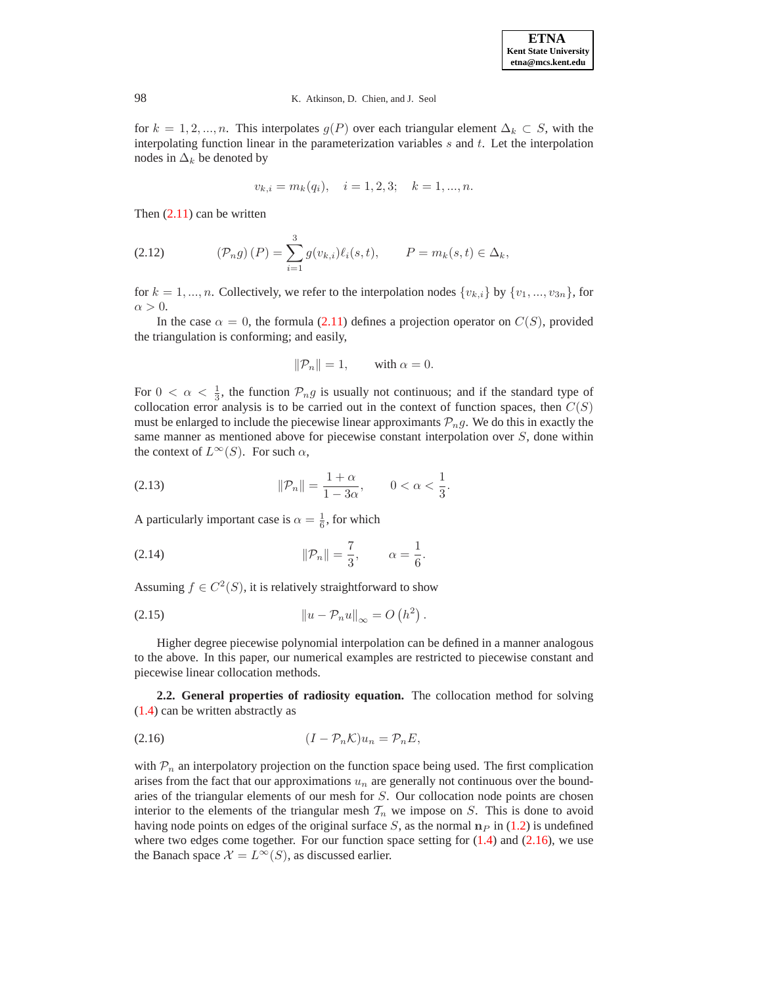for  $k = 1, 2, ..., n$ . This interpolates  $g(P)$  over each triangular element  $\Delta_k \subset S$ , with the interpolating function linear in the parameterization variables  $s$  and  $t$ . Let the interpolation nodes in  $\Delta_k$  be denoted by

$$
v_{k,i} = m_k(q_i), \quad i = 1, 2, 3; \quad k = 1, ..., n.
$$

Then  $(2.11)$  can be written

<span id="page-4-1"></span>(2.12) 
$$
(\mathcal{P}_n g)(P) = \sum_{i=1}^3 g(v_{k,i}) \ell_i(s,t), \qquad P = m_k(s,t) \in \Delta_k,
$$

for  $k = 1, ..., n$ . Collectively, we refer to the interpolation nodes  $\{v_{k,i}\}\$  by  $\{v_1, ..., v_{3n}\}\$ , for  $\alpha > 0$ .

In the case  $\alpha = 0$ , the formula [\(2.11\)](#page-3-1) defines a projection operator on  $C(S)$ , provided the triangulation is conforming; and easily,

$$
\|\mathcal{P}_n\| = 1, \quad \text{with } \alpha = 0.
$$

For  $0 < \alpha < \frac{1}{3}$ , the function  $\mathcal{P}_n g$  is usually not continuous; and if the standard type of collocation error analysis is to be carried out in the context of function spaces, then  $C(S)$ must be enlarged to include the piecewise linear approximants  $\mathcal{P}_n g$ . We do this in exactly the same manner as mentioned above for piecewise constant interpolation over S, done within the context of  $L^{\infty}(S)$ . For such  $\alpha$ ,

(2.13) 
$$
\|\mathcal{P}_n\| = \frac{1+\alpha}{1-3\alpha}, \qquad 0 < \alpha < \frac{1}{3}.
$$

A particularly important case is  $\alpha = \frac{1}{6}$ , for which

(2.14) 
$$
||\mathcal{P}_n|| = \frac{7}{3}, \qquad \alpha = \frac{1}{6}.
$$

Assuming  $f \in C^2(S)$ , it is relatively straightforward to show

<sup>k</sup><sup>u</sup> − Pnuk<sup>∞</sup> <sup>=</sup> <sup>O</sup> h<sup>2</sup> (2.15) .

Higher degree piecewise polynomial interpolation can be defined in a manner analogous to the above. In this paper, our numerical examples are restricted to piecewise constant and piecewise linear collocation methods.

**2.2. General properties of radiosity equation.** The collocation method for solving [\(1.4\)](#page-1-2) can be written abstractly as

<span id="page-4-0"></span>
$$
(2.16) \t\t\t (I - \mathcal{P}_n \mathcal{K}) u_n = \mathcal{P}_n E,
$$

with  $P_n$  an interpolatory projection on the function space being used. The first complication arises from the fact that our approximations  $u_n$  are generally not continuous over the boundaries of the triangular elements of our mesh for S. Our collocation node points are chosen interior to the elements of the triangular mesh  $T_n$  we impose on S. This is done to avoid having node points on edges of the original surface S, as the normal  $n_P$  in [\(1.2\)](#page-0-1) is undefined where two edges come together. For our function space setting for  $(1.4)$  and  $(2.16)$ , we use the Banach space  $\mathcal{X} = L^{\infty}(S)$ , as discussed earlier.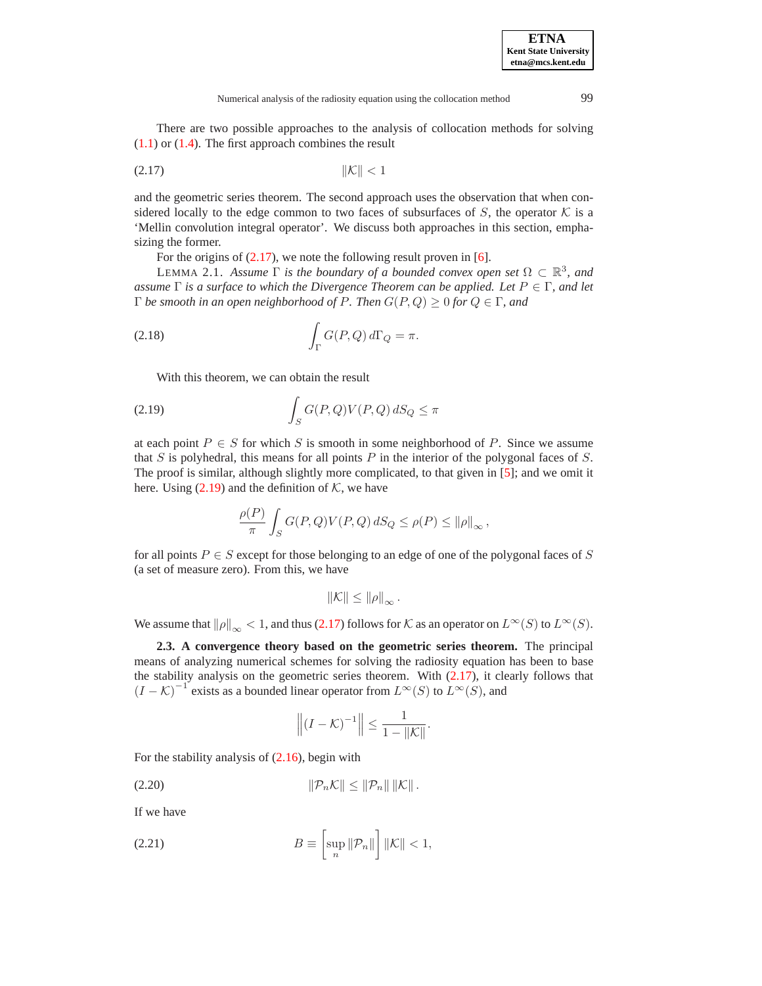There are two possible approaches to the analysis of collocation methods for solving  $(1.1)$  or  $(1.4)$ . The first approach combines the result

<span id="page-5-0"></span>
$$
(2.17) \t\t\t\t\|\mathcal{K}\| < 1
$$

and the geometric series theorem. The second approach uses the observation that when considered locally to the edge common to two faces of subsurfaces of S, the operator  $K$  is a 'Mellin convolution integral operator'. We discuss both approaches in this section, emphasizing the former.

For the origins of  $(2.17)$ , we note the following result proven in [\[6\]](#page-26-2).

**LEMMA** 2.1. *Assume*  $\Gamma$  *is the boundary of a bounded convex open set*  $\Omega \subset \mathbb{R}^3$ *, and assume* Γ *is a surface to which the Divergence Theorem can be applied. Let* P ∈ Γ*, and let* Γ *be smooth in an open neighborhood of* P*. Then* G(P, Q) ≥ 0 *for* Q ∈ Γ*, and*

(2.18) 
$$
\int_{\Gamma} G(P,Q) d\Gamma_{Q} = \pi.
$$

With this theorem, we can obtain the result

<span id="page-5-1"></span>(2.19) 
$$
\int_{S} G(P,Q)V(P,Q) dS_{Q} \leq \pi
$$

at each point  $P \in S$  for which S is smooth in some neighborhood of P. Since we assume that  $S$  is polyhedral, this means for all points  $P$  in the interior of the polygonal faces of  $S$ . The proof is similar, although slightly more complicated, to that given in [\[5\]](#page-25-2); and we omit it here. Using  $(2.19)$  and the definition of K, we have

$$
\frac{\rho(P)}{\pi} \int_S G(P,Q)V(P,Q)\,dS_Q \le \rho(P) \le ||\rho||_{\infty},
$$

for all points  $P \in S$  except for those belonging to an edge of one of the polygonal faces of S (a set of measure zero). From this, we have

$$
\|\mathcal{K}\| \le \|\rho\|_{\infty}.
$$

<span id="page-5-3"></span>We assume that  $\|\rho\|_{\infty} < 1$ , and thus [\(2.17\)](#page-5-0) follows for K as an operator on  $L^{\infty}(S)$  to  $L^{\infty}(S)$ .

**2.3. A convergence theory based on the geometric series theorem.** The principal means of analyzing numerical schemes for solving the radiosity equation has been to base the stability analysis on the geometric series theorem. With  $(2.17)$ , it clearly follows that  $(I - K)^{-1}$  exists as a bounded linear operator from  $L^{\infty}(S)$  to  $L^{\infty}(S)$ , and

$$
\left\| \left(I - \mathcal{K}\right)^{-1} \right\| \leq \frac{1}{1 - \|\mathcal{K}\|}.
$$

For the stability analysis of [\(2.16\)](#page-4-0), begin with

(2.20) kPnKk ≤ kPnk kKk .

If we have

<span id="page-5-2"></span>(2.21) 
$$
B \equiv \left[\sup_n \|\mathcal{P}_n\|\right] \|\mathcal{K}\| < 1,
$$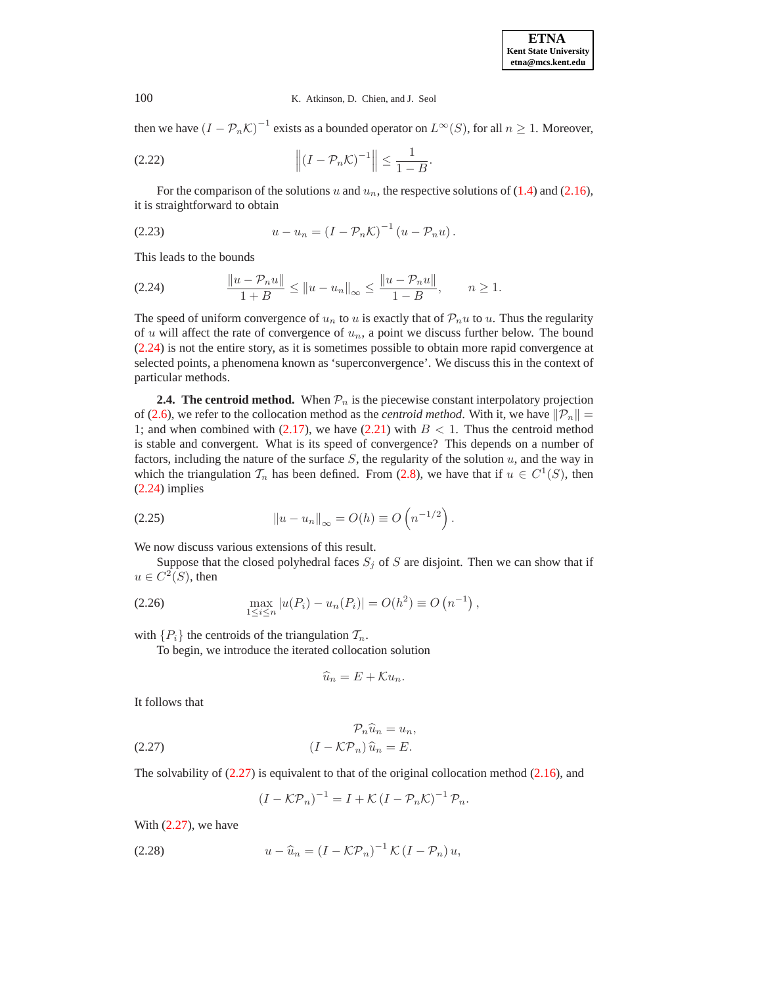then we have  $(I - \mathcal{P}_n \mathcal{K})^{-1}$  exists as a bounded operator on  $L^{\infty}(S)$ , for all  $n \geq 1$ . Moreover,

$$
(2.22) \t\t\t\t\t\left\| (I - \mathcal{P}_n \mathcal{K})^{-1} \right\| \le \frac{1}{1 - B}.
$$

For the comparison of the solutions u and  $u_n$ , the respective solutions of [\(1.4\)](#page-1-2) and [\(2.16\)](#page-4-0), it is straightforward to obtain

$$
(2.23) \t u - u_n = \left(I - \mathcal{P}_n \mathcal{K}\right)^{-1} \left(u - \mathcal{P}_n u\right).
$$

This leads to the bounds

<span id="page-6-0"></span>
$$
(2.24) \t\t\t  $\frac{\|u - \mathcal{P}_n u\|}{1 + B} \le \|u - u_n\|_{\infty} \le \frac{\|u - \mathcal{P}_n u\|}{1 - B}, \quad n \ge 1.$
$$

The speed of uniform convergence of  $u_n$  to u is exactly that of  $\mathcal{P}_n u$  to u. Thus the regularity of  $u$  will affect the rate of convergence of  $u_n$ , a point we discuss further below. The bound [\(2.24\)](#page-6-0) is not the entire story, as it is sometimes possible to obtain more rapid convergence at selected points, a phenomena known as 'superconvergence'. We discuss this in the context of particular methods.

**2.4. The centroid method.** When  $\mathcal{P}_n$  is the piecewise constant interpolatory projection of [\(2.6\)](#page-3-2), we refer to the collocation method as the *centroid method*. With it, we have  $\|\mathcal{P}_n\| =$ 1; and when combined with  $(2.17)$ , we have  $(2.21)$  with  $B < 1$ . Thus the centroid method is stable and convergent. What is its speed of convergence? This depends on a number of factors, including the nature of the surface  $S$ , the regularity of the solution  $u$ , and the way in which the triangulation  $\mathcal{T}_n$  has been defined. From [\(2.8\)](#page-3-3), we have that if  $u \in C^1(S)$ , then [\(2.24\)](#page-6-0) implies

<span id="page-6-3"></span>(2.25) 
$$
\|u - u_n\|_{\infty} = O(h) \equiv O\left(n^{-1/2}\right).
$$

We now discuss various extensions of this result.

Suppose that the closed polyhedral faces  $S_j$  of S are disjoint. Then we can show that if  $u \in C^2(S)$ , then

<span id="page-6-2"></span>(2.26) 
$$
\max_{1 \leq i \leq n} |u(P_i) - u_n(P_i)| = O(h^2) \equiv O(n^{-1}),
$$

with  $\{P_i\}$  the centroids of the triangulation  $\mathcal{T}_n$ .

To begin, we introduce the iterated collocation solution

$$
\widehat{u}_n = E + \mathcal{K} u_n.
$$

It follows that

<span id="page-6-1"></span>(2.27) 
$$
\mathcal{P}_n \widehat{u}_n = u_n,
$$

$$
(I - \mathcal{K} \mathcal{P}_n) \widehat{u}_n = E.
$$

The solvability of [\(2.27\)](#page-6-1) is equivalent to that of the original collocation method [\(2.16\)](#page-4-0), and

$$
(I - \mathcal{KP}_n)^{-1} = I + \mathcal{K} (I - \mathcal{P}_n \mathcal{K})^{-1} \mathcal{P}_n.
$$

With [\(2.27\)](#page-6-1), we have

$$
(2.28) \t u - \widehat{u}_n = (I - \mathcal{KP}_n)^{-1} \mathcal{K} (I - \mathcal{P}_n) u,
$$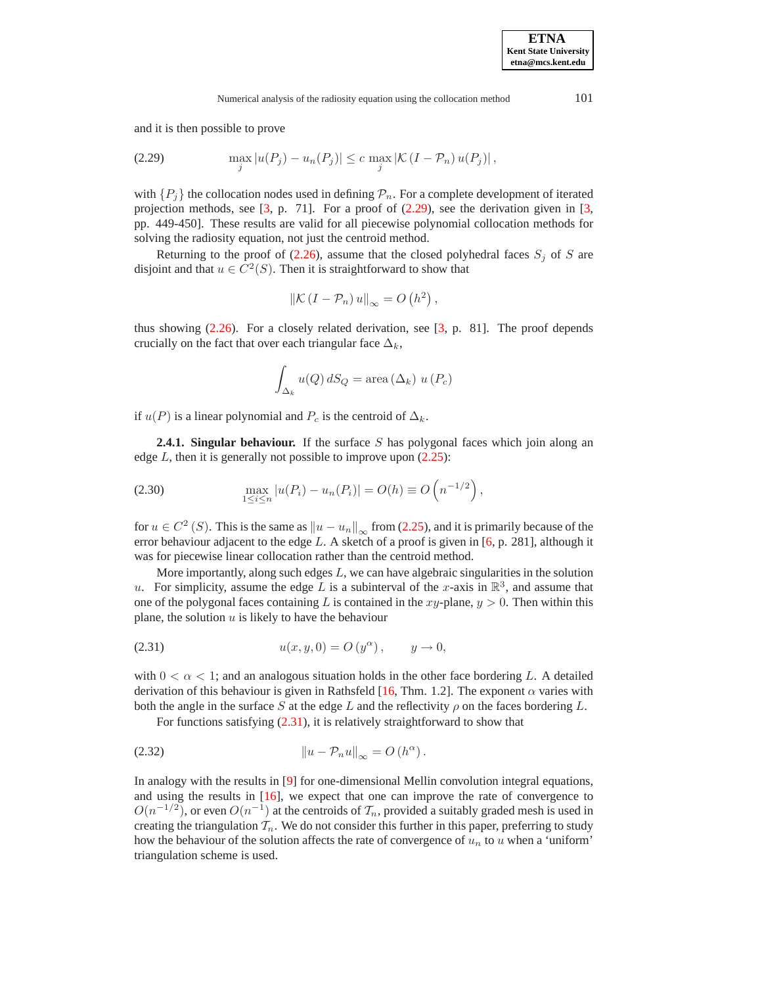and it is then possible to prove

<span id="page-7-0"></span>(2.29) 
$$
\max_{j} |u(P_j) - u_n(P_j)| \leq c \max_{j} |\mathcal{K}(I - \mathcal{P}_n) u(P_j)|,
$$

with  $\{P_i\}$  the collocation nodes used in defining  $\mathcal{P}_n$ . For a complete development of iterated projection methods, see  $[3, p. 71]$  $[3, p. 71]$ . For a proof of  $(2.29)$ , see the derivation given in  $[3, p. 71]$ . pp. 449-450]. These results are valid for all piecewise polynomial collocation methods for solving the radiosity equation, not just the centroid method.

Returning to the proof of  $(2.26)$ , assume that the closed polyhedral faces  $S_i$  of S are disjoint and that  $u \in C^2(S)$ . Then it is straightforward to show that

$$
\left\|\mathcal{K}\left(I-\mathcal{P}_n\right)u\right\|_{\infty}=O\left(h^2\right),\,
$$

thus showing [\(2.26\)](#page-6-2). For a closely related derivation, see [\[3,](#page-25-0) p. 81]. The proof depends crucially on the fact that over each triangular face  $\Delta_k$ ,

$$
\int_{\Delta_k} u(Q) \, dS_Q = \text{area} \left(\Delta_k\right) \, u\left(P_c\right)
$$

if  $u(P)$  is a linear polynomial and  $P_c$  is the centroid of  $\Delta_k$ .

**2.4.1. Singular behaviour.** If the surface S has polygonal faces which join along an edge  $L$ , then it is generally not possible to improve upon  $(2.25)$ :

<span id="page-7-3"></span>(2.30) 
$$
\max_{1 \le i \le n} |u(P_i) - u_n(P_i)| = O(h) \equiv O\left(n^{-1/2}\right),
$$

for  $u \in C^2(S)$ . This is the same as  $\|u - u_n\|_{\infty}$  from [\(2.25\)](#page-6-3), and it is primarily because of the error behaviour adjacent to the edge L. A sketch of a proof is given in  $[6, p. 281]$  $[6, p. 281]$ , although it was for piecewise linear collocation rather than the centroid method.

More importantly, along such edges  $L$ , we can have algebraic singularities in the solution u. For simplicity, assume the edge L is a subinterval of the x-axis in  $\mathbb{R}^3$ , and assume that one of the polygonal faces containing L is contained in the  $xy$ -plane,  $y > 0$ . Then within this plane, the solution  $u$  is likely to have the behaviour

<span id="page-7-1"></span>(2.31) 
$$
u(x, y, 0) = O(y^{\alpha}), \quad y \to 0,
$$

with  $0 < \alpha < 1$ ; and an analogous situation holds in the other face bordering L. A detailed derivation of this behaviour is given in Rathsfeld [\[16,](#page-26-5) Thm. 1.2]. The exponent  $\alpha$  varies with both the angle in the surface S at the edge L and the reflectivity  $\rho$  on the faces bordering L.

For functions satisfying [\(2.31\)](#page-7-1), it is relatively straightforward to show that

<span id="page-7-2"></span>(2.32) 
$$
\|u - \mathcal{P}_n u\|_{\infty} = O(h^{\alpha}).
$$

In analogy with the results in [\[9\]](#page-26-6) for one-dimensional Mellin convolution integral equations, and using the results in [\[16\]](#page-26-5), we expect that one can improve the rate of convergence to  $O(n^{-1/2})$ , or even  $O(n^{-1})$  at the centroids of  $\mathcal{T}_n$ , provided a suitably graded mesh is used in creating the triangulation  $\mathcal{T}_n$ . We do not consider this further in this paper, preferring to study how the behaviour of the solution affects the rate of convergence of  $u_n$  to u when a 'uniform' triangulation scheme is used.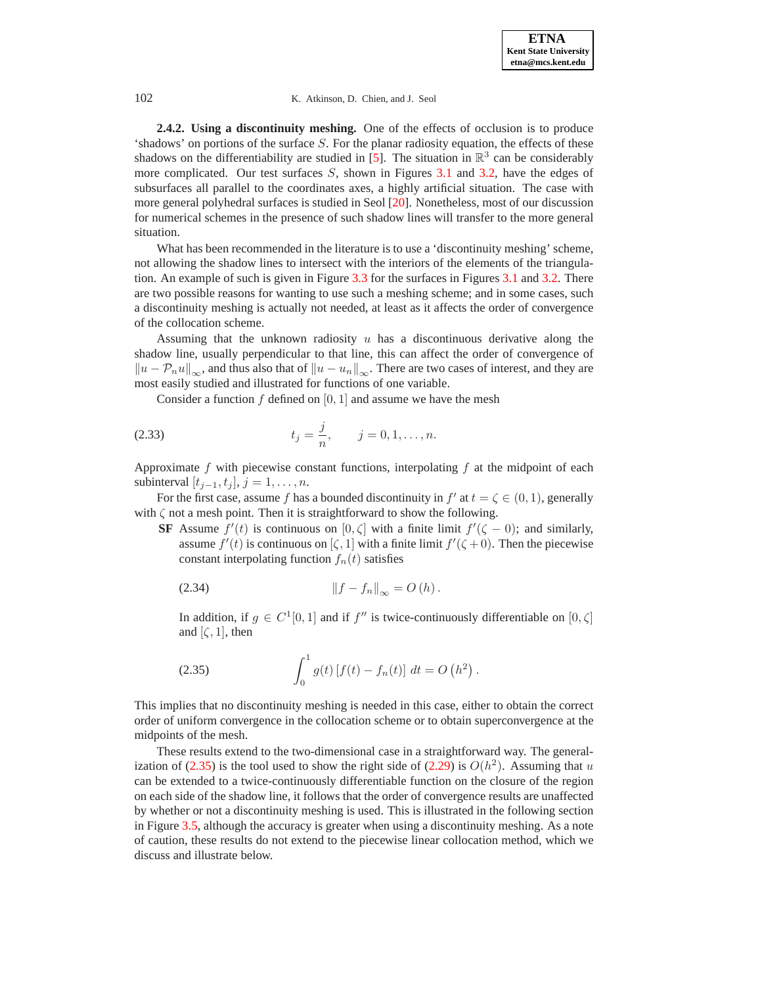<span id="page-8-3"></span>**2.4.2. Using a discontinuity meshing.** One of the effects of occlusion is to produce 'shadows' on portions of the surface  $S$ . For the planar radiosity equation, the effects of these shadows on the differentiability are studied in [\[5\]](#page-25-2). The situation in  $\mathbb{R}^3$  can be considerably more complicated. Our test surfaces  $S$ , shown in Figures [3.1](#page-1-0) and [3.2,](#page-12-0) have the edges of subsurfaces all parallel to the coordinates axes, a highly artificial situation. The case with more general polyhedral surfaces is studied in Seol [\[20\]](#page-26-7). Nonetheless, most of our discussion for numerical schemes in the presence of such shadow lines will transfer to the more general situation.

What has been recommended in the literature is to use a 'discontinuity meshing' scheme, not allowing the shadow lines to intersect with the interiors of the elements of the triangulation. An example of such is given in Figure [3.3](#page-13-0) for the surfaces in Figures [3.1](#page-1-0) and [3.2.](#page-12-0) There are two possible reasons for wanting to use such a meshing scheme; and in some cases, such a discontinuity meshing is actually not needed, at least as it affects the order of convergence of the collocation scheme.

Assuming that the unknown radiosity  $u$  has a discontinuous derivative along the shadow line, usually perpendicular to that line, this can affect the order of convergence of  $\|u - \mathcal{P}_n u\|_{\infty}$ , and thus also that of  $\|u - u_n\|_{\infty}$ . There are two cases of interest, and they are most easily studied and illustrated for functions of one variable.

Consider a function  $f$  defined on [0, 1] and assume we have the mesh

<span id="page-8-2"></span>(2.33) 
$$
t_j = \frac{j}{n}, \qquad j = 0, 1, ..., n.
$$

Approximate  $f$  with piecewise constant functions, interpolating  $f$  at the midpoint of each subinterval  $[t_{i-1}, t_i], j = 1, \ldots, n$ .

For the first case, assume f has a bounded discontinuity in  $f'$  at  $t = \zeta \in (0, 1)$ , generally with  $\zeta$  not a mesh point. Then it is straightforward to show the following.

<span id="page-8-1"></span>**SF** Assume  $f'(t)$  is continuous on  $[0, \zeta]$  with a finite limit  $f'(\zeta - 0)$ ; and similarly, assume  $f'(t)$  is continuous on  $[\zeta, 1]$  with a finite limit  $f'(\zeta + 0)$ . Then the piecewise constant interpolating function  $f_n(t)$  satisfies

$$
(2.34) \t\t\t\t\t||f - f_n||_{\infty} = O(h).
$$

In addition, if  $g \in C^1[0,1]$  and if f'' is twice-continuously differentiable on  $[0,\zeta]$ and  $[\zeta, 1]$ , then

(2.35) 
$$
\int_0^1 g(t) [f(t) - f_n(t)] dt = O(h^2).
$$

<span id="page-8-0"></span>This implies that no discontinuity meshing is needed in this case, either to obtain the correct order of uniform convergence in the collocation scheme or to obtain superconvergence at the midpoints of the mesh.

These results extend to the two-dimensional case in a straightforward way. The general-ization of [\(2.35\)](#page-8-0) is the tool used to show the right side of [\(2.29\)](#page-7-0) is  $O(h^2)$ . Assuming that u can be extended to a twice-continuously differentiable function on the closure of the region on each side of the shadow line, it follows that the order of convergence results are unaffected by whether or not a discontinuity meshing is used. This is illustrated in the following section in Figure [3.5,](#page-15-0) although the accuracy is greater when using a discontinuity meshing. As a note of caution, these results do not extend to the piecewise linear collocation method, which we discuss and illustrate below.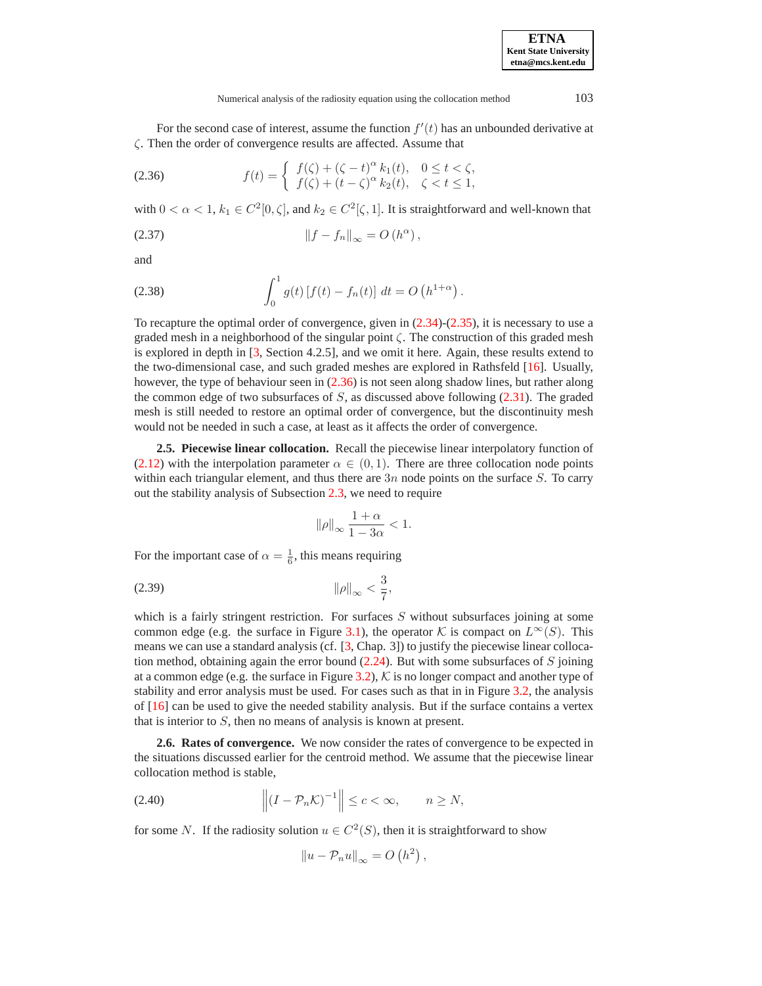Numerical analysis of the radiosity equation using the collocation method 103

For the second case of interest, assume the function  $f'(t)$  has an unbounded derivative at ζ. Then the order of convergence results are affected. Assume that

<span id="page-9-0"></span>(2.36) 
$$
f(t) = \begin{cases} f(\zeta) + (\zeta - t)^{\alpha} k_1(t), & 0 \le t < \zeta, \\ f(\zeta) + (t - \zeta)^{\alpha} k_2(t), & \zeta < t \le 1, \end{cases}
$$

with  $0 < \alpha < 1$ ,  $k_1 \in C^2[0, \zeta]$ , and  $k_2 \in C^2[\zeta, 1]$ . It is straightforward and well-known that

$$
(2.37) \t\t\t\t\t||f - f_n||_{\infty} = O(h^{\alpha}),
$$

and

<span id="page-9-1"></span>(2.38) 
$$
\int_0^1 g(t) [f(t) - f_n(t)] dt = O(h^{1+\alpha}).
$$

To recapture the optimal order of convergence, given in  $(2.34)-(2.35)$  $(2.34)-(2.35)$  $(2.34)-(2.35)$ , it is necessary to use a graded mesh in a neighborhood of the singular point  $\zeta$ . The construction of this graded mesh is explored in depth in [\[3,](#page-25-0) Section 4.2.5], and we omit it here. Again, these results extend to the two-dimensional case, and such graded meshes are explored in Rathsfeld [\[16\]](#page-26-5). Usually, however, the type of behaviour seen in  $(2.36)$  is not seen along shadow lines, but rather along the common edge of two subsurfaces of  $S$ , as discussed above following  $(2.31)$ . The graded mesh is still needed to restore an optimal order of convergence, but the discontinuity mesh would not be needed in such a case, at least as it affects the order of convergence.

<span id="page-9-2"></span>**2.5. Piecewise linear collocation.** Recall the piecewise linear interpolatory function of [\(2.12\)](#page-4-1) with the interpolation parameter  $\alpha \in (0,1)$ . There are three collocation node points within each triangular element, and thus there are  $3n$  node points on the surface S. To carry out the stability analysis of Subsection [2.3,](#page-5-3) we need to require

$$
\|\rho\|_{\infty}\,\frac{1+\alpha}{1-3\alpha}<1.
$$

For the important case of  $\alpha = \frac{1}{6}$ , this means requiring

$$
\|\rho\|_{\infty} < \frac{3}{7},
$$

which is a fairly stringent restriction. For surfaces  $S$  without subsurfaces joining at some common edge (e.g. the surface in Figure [3.1\)](#page-1-0), the operator K is compact on  $L^{\infty}(S)$ . This means we can use a standard analysis (cf. [\[3,](#page-25-0) Chap. 3]) to justify the piecewise linear collocation method, obtaining again the error bound  $(2.24)$ . But with some subsurfaces of S joining at a common edge (e.g. the surface in Figure [3.2\)](#page-12-0),  $K$  is no longer compact and another type of stability and error analysis must be used. For cases such as that in in Figure [3.2,](#page-12-0) the analysis of [\[16\]](#page-26-5) can be used to give the needed stability analysis. But if the surface contains a vertex that is interior to  $S$ , then no means of analysis is known at present.

**2.6. Rates of convergence.** We now consider the rates of convergence to be expected in the situations discussed earlier for the centroid method. We assume that the piecewise linear collocation method is stable,

$$
(2.40) \t\t\t ||(I - \mathcal{P}_n \mathcal{K})^{-1}|| \leq c < \infty, \t n \geq N,
$$

for some N. If the radiosity solution  $u \in C^2(S)$ , then it is straightforward to show

$$
||u - \mathcal{P}_n u||_{\infty} = O\left(h^2\right),\,
$$

**ETNA Kent State University etna@mcs.kent.edu**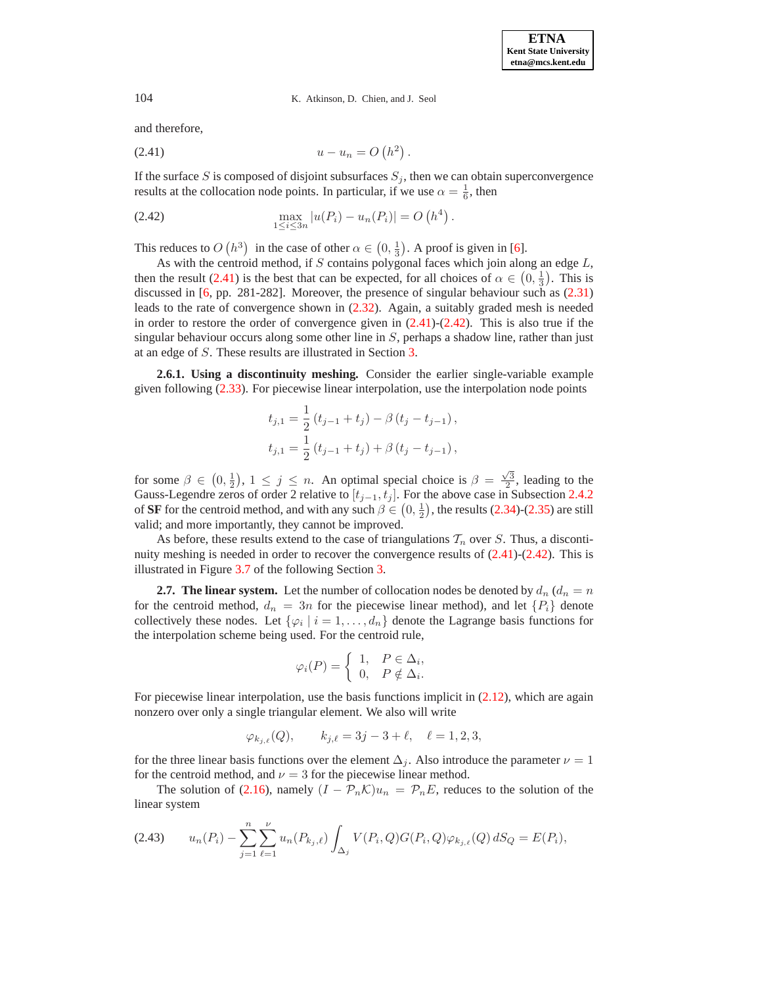and therefore,

<span id="page-10-0"></span>(2.41) 
$$
u - u_n = O(h^2).
$$

If the surface  $S$  is composed of disjoint subsurfaces  $S_j$ , then we can obtain superconvergence results at the collocation node points. In particular, if we use  $\alpha = \frac{1}{6}$ , then

<span id="page-10-1"></span>(2.42) 
$$
\max_{1 \leq i \leq 3n} |u(P_i) - u_n(P_i)| = O(h^4).
$$

This reduces to  $O(h^3)$  in the case of other  $\alpha \in (0, \frac{1}{3})$ . A proof is given in [\[6\]](#page-26-2).

As with the centroid method, if  $S$  contains polygonal faces which join along an edge  $L$ , then the result [\(2.41\)](#page-10-0) is the best that can be expected, for all choices of  $\alpha \in (0, \frac{1}{3})$ . This is discussed in [\[6,](#page-26-2) pp. 281-282]. Moreover, the presence of singular behaviour such as [\(2.31\)](#page-7-1) leads to the rate of convergence shown in [\(2.32\)](#page-7-2). Again, a suitably graded mesh is needed in order to restore the order of convergence given in  $(2.41)-(2.42)$  $(2.41)-(2.42)$  $(2.41)-(2.42)$ . This is also true if the singular behaviour occurs along some other line in  $S$ , perhaps a shadow line, rather than just at an edge of S. These results are illustrated in Section [3.](#page-11-0)

**2.6.1. Using a discontinuity meshing.** Consider the earlier single-variable example given following [\(2.33\)](#page-8-2). For piecewise linear interpolation, use the interpolation node points

$$
t_{j,1} = \frac{1}{2} (t_{j-1} + t_j) - \beta (t_j - t_{j-1}),
$$
  

$$
t_{j,1} = \frac{1}{2} (t_{j-1} + t_j) + \beta (t_j - t_{j-1}),
$$

for some  $\beta \in (0, \frac{1}{2}), 1 \le j \le n$ . An optimal special choice is  $\beta = \frac{\sqrt{3}}{2}$ , leading to the Gauss-Legendre zeros of order 2 relative to  $[t_{j-1}, t_j]$ . For the above case in Subsection [2.4.2](#page-8-3) of **SF** for the centroid method, and with any such  $\beta \in (0, \frac{1}{2})$ , the results [\(2.34\)](#page-8-1)-[\(2.35\)](#page-8-0) are still valid; and more importantly, they cannot be improved.

As before, these results extend to the case of triangulations  $T_n$  over S. Thus, a discontinuity meshing is needed in order to recover the convergence results of  $(2.41)-(2.42)$  $(2.41)-(2.42)$  $(2.41)-(2.42)$ . This is illustrated in Figure [3.7](#page-17-0) of the following Section [3.](#page-11-0)

**2.7. The linear system.** Let the number of collocation nodes be denoted by  $d_n (d_n = n)$ for the centroid method,  $d_n = 3n$  for the piecewise linear method), and let  $\{P_i\}$  denote collectively these nodes. Let  $\{\varphi_i \mid i = 1, \ldots, d_n\}$  denote the Lagrange basis functions for the interpolation scheme being used. For the centroid rule,

$$
\varphi_i(P) = \begin{cases} 1, & P \in \Delta_i, \\ 0, & P \notin \Delta_i. \end{cases}
$$

For piecewise linear interpolation, use the basis functions implicit in  $(2.12)$ , which are again nonzero over only a single triangular element. We also will write

$$
\varphi_{k_{j,\ell}}(Q), \qquad k_{j,\ell} = 3j - 3 + \ell, \quad \ell = 1, 2, 3,
$$

for the three linear basis functions over the element  $\Delta_j$ . Also introduce the parameter  $\nu = 1$ for the centroid method, and  $\nu = 3$  for the piecewise linear method.

The solution of [\(2.16\)](#page-4-0), namely  $(I - \mathcal{P}_n \mathcal{K})u_n = \mathcal{P}_nE$ , reduces to the solution of the linear system

<span id="page-10-2"></span>
$$
(2.43) \t u_n(P_i) - \sum_{j=1}^n \sum_{\ell=1}^\nu u_n(P_{k_j,\ell}) \int_{\Delta_j} V(P_i,Q) G(P_i,Q) \varphi_{k_{j,\ell}}(Q) dS_Q = E(P_i),
$$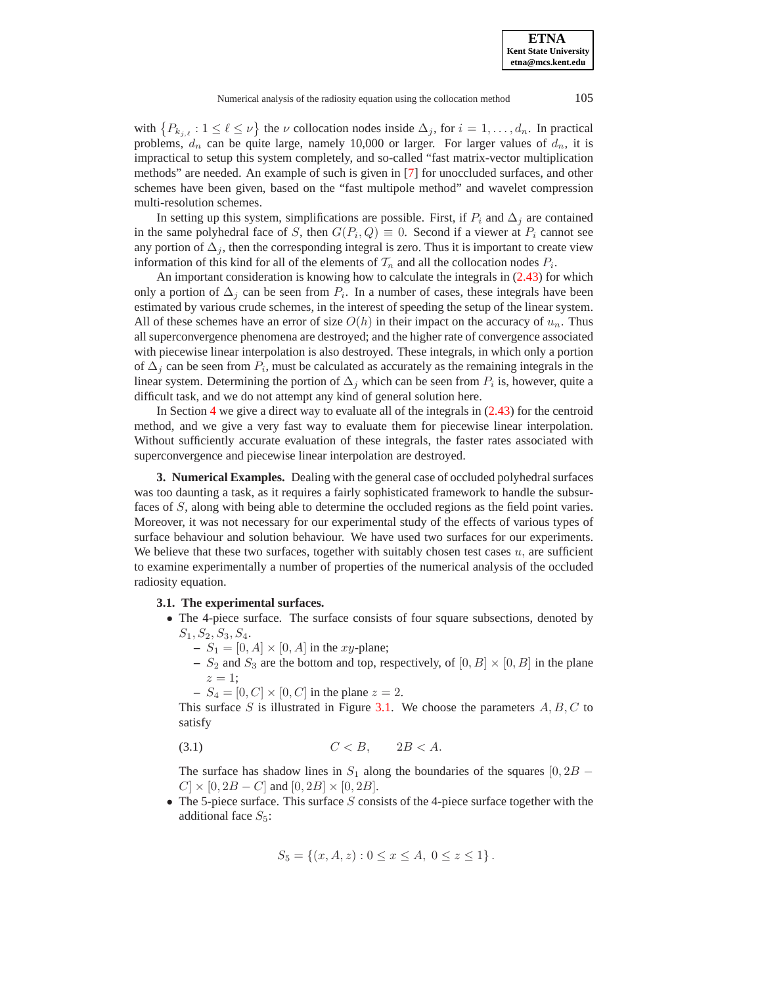with  $\{P_{k_j,\ell} : 1 \leq \ell \leq \nu\}$  the  $\nu$  collocation nodes inside  $\Delta_j$ , for  $i = 1,\ldots,d_n$ . In practical problems,  $d_n$  can be quite large, namely 10,000 or larger. For larger values of  $d_n$ , it is impractical to setup this system completely, and so-called "fast matrix-vector multiplication methods" are needed. An example of such is given in [\[7\]](#page-26-8) for unoccluded surfaces, and other schemes have been given, based on the "fast multipole method" and wavelet compression multi-resolution schemes.

In setting up this system, simplifications are possible. First, if  $P_i$  and  $\Delta_i$  are contained in the same polyhedral face of S, then  $G(P_i, Q) \equiv 0$ . Second if a viewer at  $P_i$  cannot see any portion of  $\Delta_i$ , then the corresponding integral is zero. Thus it is important to create view information of this kind for all of the elements of  $\mathcal{T}_n$  and all the collocation nodes  $P_i$ .

An important consideration is knowing how to calculate the integrals in [\(2.43\)](#page-10-2) for which only a portion of  $\Delta_j$  can be seen from  $P_i$ . In a number of cases, these integrals have been estimated by various crude schemes, in the interest of speeding the setup of the linear system. All of these schemes have an error of size  $O(h)$  in their impact on the accuracy of  $u_n$ . Thus all superconvergence phenomena are destroyed; and the higher rate of convergence associated with piecewise linear interpolation is also destroyed. These integrals, in which only a portion of  $\Delta_i$  can be seen from  $P_i$ , must be calculated as accurately as the remaining integrals in the linear system. Determining the portion of  $\Delta_j$  which can be seen from  $P_i$  is, however, quite a difficult task, and we do not attempt any kind of general solution here.

In Section [4](#page-18-0) we give a direct way to evaluate all of the integrals in  $(2.43)$  for the centroid method, and we give a very fast way to evaluate them for piecewise linear interpolation. Without sufficiently accurate evaluation of these integrals, the faster rates associated with superconvergence and piecewise linear interpolation are destroyed.

<span id="page-11-0"></span>**3. Numerical Examples.** Dealing with the general case of occluded polyhedral surfaces was too daunting a task, as it requires a fairly sophisticated framework to handle the subsurfaces of S, along with being able to determine the occluded regions as the field point varies. Moreover, it was not necessary for our experimental study of the effects of various types of surface behaviour and solution behaviour. We have used two surfaces for our experiments. We believe that these two surfaces, together with suitably chosen test cases  $u$ , are sufficient to examine experimentally a number of properties of the numerical analysis of the occluded radiosity equation.

# **3.1. The experimental surfaces.**

- The 4-piece surface. The surface consists of four square subsections, denoted by  $S_1, S_2, S_3, S_4.$ 
	- $S_1 = [0, A] \times [0, A]$  in the *xy*-plane;
	- $S_2$  and  $S_3$  are the bottom and top, respectively, of  $[0, B] \times [0, B]$  in the plane  $z=1$ ;
	- $S_4 = [0, C] \times [0, C]$  in the plane  $z = 2$ .

This surface S is illustrated in Figure [3.1.](#page-1-0) We choose the parameters  $A, B, C$  to satisfy

$$
(3.1) \tC < B, \t2B < A.
$$

The surface has shadow lines in  $S_1$  along the boundaries of the squares [0, 2B –  $C \times [0, 2B - C]$  and  $[0, 2B] \times [0, 2B]$ .

 $\bullet$  The 5-piece surface. This surface  $S$  consists of the 4-piece surface together with the additional face  $S_5$ :

$$
S_5 = \{(x, A, z) : 0 \le x \le A, \ 0 \le z \le 1\}.
$$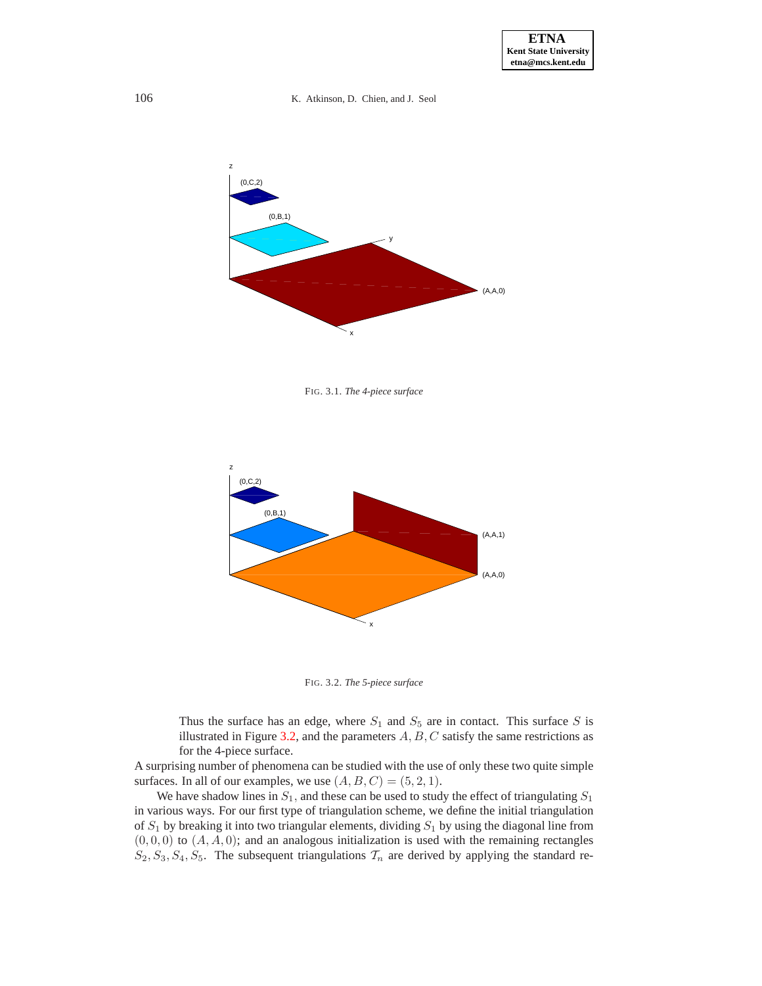

FIG. 3.1. *The 4-piece surface*



<span id="page-12-0"></span>FIG. 3.2. *The 5-piece surface*

Thus the surface has an edge, where  $S_1$  and  $S_5$  are in contact. This surface S is illustrated in Figure [3.2,](#page-12-0) and the parameters  $A, B, C$  satisfy the same restrictions as for the 4-piece surface.

A surprising number of phenomena can be studied with the use of only these two quite simple surfaces. In all of our examples, we use  $(A, B, C) = (5, 2, 1)$ .

We have shadow lines in  $S_1$ , and these can be used to study the effect of triangulating  $S_1$ in various ways. For our first type of triangulation scheme, we define the initial triangulation of  $S_1$  by breaking it into two triangular elements, dividing  $S_1$  by using the diagonal line from  $(0, 0, 0)$  to  $(A, A, 0)$ ; and an analogous initialization is used with the remaining rectangles  $S_2, S_3, S_4, S_5$ . The subsequent triangulations  $\mathcal{T}_n$  are derived by applying the standard re-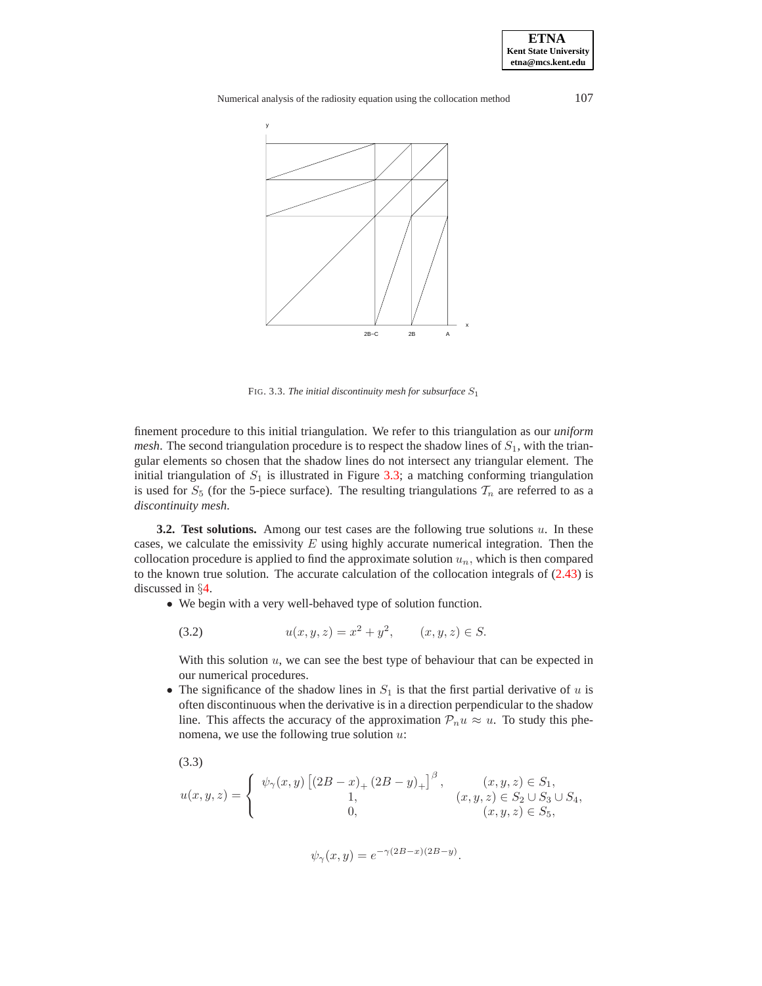**ETNA Kent State University etna@mcs.kent.edu**

Numerical analysis of the radiosity equation using the collocation method 107



<span id="page-13-0"></span>FIG. 3.3. *The initial discontinuity mesh for subsurface*  $S_1$ 

finement procedure to this initial triangulation. We refer to this triangulation as our *uniform mesh*. The second triangulation procedure is to respect the shadow lines of  $S<sub>1</sub>$ , with the triangular elements so chosen that the shadow lines do not intersect any triangular element. The initial triangulation of  $S_1$  is illustrated in Figure [3.3;](#page-13-0) a matching conforming triangulation is used for  $S_5$  (for the 5-piece surface). The resulting triangulations  $\mathcal{T}_n$  are referred to as a *discontinuity mesh*.

**3.2. Test solutions.** Among our test cases are the following true solutions  $u$ . In these cases, we calculate the emissivity  $E$  using highly accurate numerical integration. Then the collocation procedure is applied to find the approximate solution  $u_n$ , which is then compared to the known true solution. The accurate calculation of the collocation integrals of  $(2.43)$  is discussed in §[4.](#page-18-0)

<span id="page-13-1"></span>• We begin with a very well-behaved type of solution function.

$$
(3.2) \t u(x, y, z) = x^2 + y^2, \t (x, y, z) \in S.
$$

With this solution  $u$ , we can see the best type of behaviour that can be expected in our numerical procedures.

• The significance of the shadow lines in  $S_1$  is that the first partial derivative of u is often discontinuous when the derivative is in a direction perpendicular to the shadow line. This affects the accuracy of the approximation  $\mathcal{P}_n u \approx u$ . To study this phenomena, we use the following true solution  $u$ :

<span id="page-13-2"></span>(3.3)  
\n
$$
u(x,y,z) = \begin{cases} \psi_{\gamma}(x,y) \left[ (2B-x)_+ (2B-y)_+ \right]^{\beta}, & (x,y,z) \in S_1, \\ 1, & (x,y,z) \in S_2 \cup S_3 \cup S_4, \\ 0, & (x,y,z) \in S_5, \end{cases}
$$

$$
\psi_{\gamma}(x,y) = e^{-\gamma(2B-x)(2B-y)}.
$$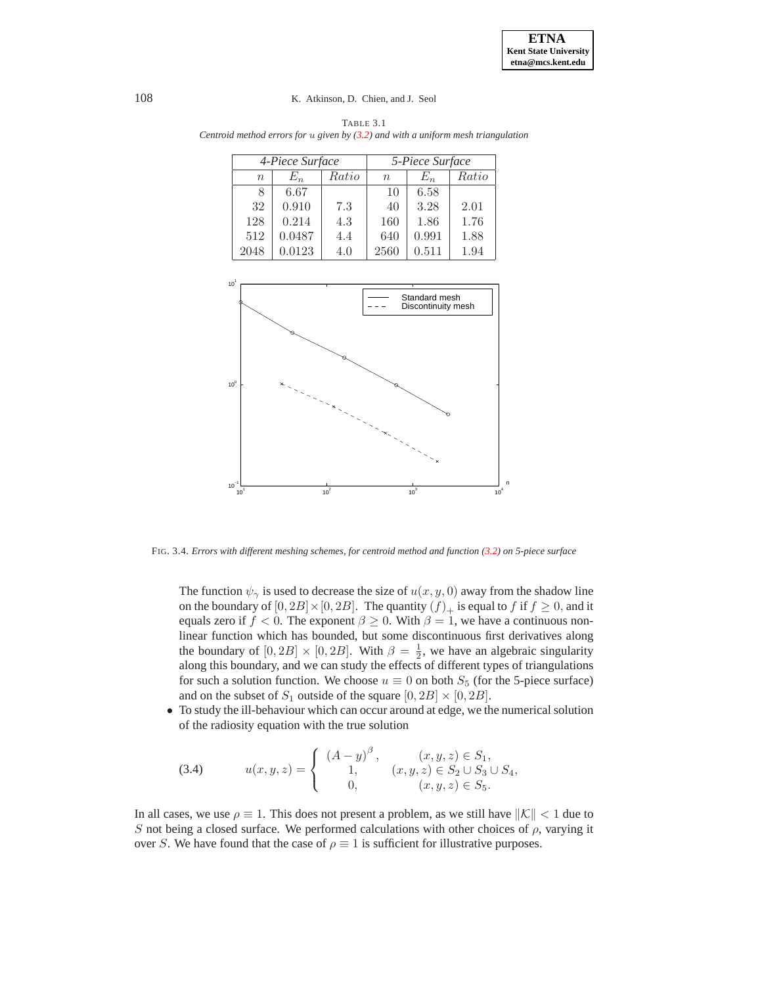|        | 4-Piece Surface |       |             | 5-Piece Surface |       |  |
|--------|-----------------|-------|-------------|-----------------|-------|--|
| $\eta$ | $E_n$           | Ratio | $n_{\rm s}$ | $E_n\,$         | Ratio |  |
|        | 6.67            |       | 10          | 6.58            |       |  |
| 32     | 0.910           | 7.3   | 40          | 3.28            | 2.01  |  |
| 128    | 0.214           | 4.3   | 160         | 1.86            | 1.76  |  |
| 512    | 0.0487          | 4.4   | 640         | 0.991           | 1.88  |  |
| 2048   | 0.0123          | 4.0   | 2560        | 0.511           | 1.94  |  |

<span id="page-14-0"></span>TABLE 3.1 *Centroid method errors for* u *given by [\(3.2\)](#page-13-1) and with a uniform mesh triangulation*



<span id="page-14-1"></span>FIG. 3.4. *Errors with different meshing schemes, for centroid method and function [\(3.2\)](#page-13-1) on 5-piece surface*

The function  $\psi_{\gamma}$  is used to decrease the size of  $u(x, y, 0)$  away from the shadow line on the boundary of  $[0, 2B] \times [0, 2B]$ . The quantity  $(f)_+$  is equal to f if  $f \ge 0$ , and it equals zero if  $f < 0$ . The exponent  $\beta \ge 0$ . With  $\beta = 1$ , we have a continuous nonlinear function which has bounded, but some discontinuous first derivatives along the boundary of  $[0, 2B] \times [0, 2B]$ . With  $\beta = \frac{1}{2}$ , we have an algebraic singularity along this boundary, and we can study the effects of different types of triangulations for such a solution function. We choose  $u \equiv 0$  on both  $S_5$  (for the 5-piece surface) and on the subset of  $S_1$  outside of the square  $[0, 2B] \times [0, 2B]$ .

• To study the ill-behaviour which can occur around at edge, we the numerical solution of the radiosity equation with the true solution

(3.4) 
$$
u(x, y, z) = \begin{cases} (A - y)^{\beta}, & (x, y, z) \in S_1, \\ 1, & (x, y, z) \in S_2 \cup S_3 \cup S_4, \\ 0, & (x, y, z) \in S_5. \end{cases}
$$

<span id="page-14-2"></span>In all cases, we use  $\rho \equiv 1$ . This does not present a problem, as we still have  $||\mathcal{K}|| < 1$  due to S not being a closed surface. We performed calculations with other choices of  $\rho$ , varying it over S. We have found that the case of  $\rho \equiv 1$  is sufficient for illustrative purposes.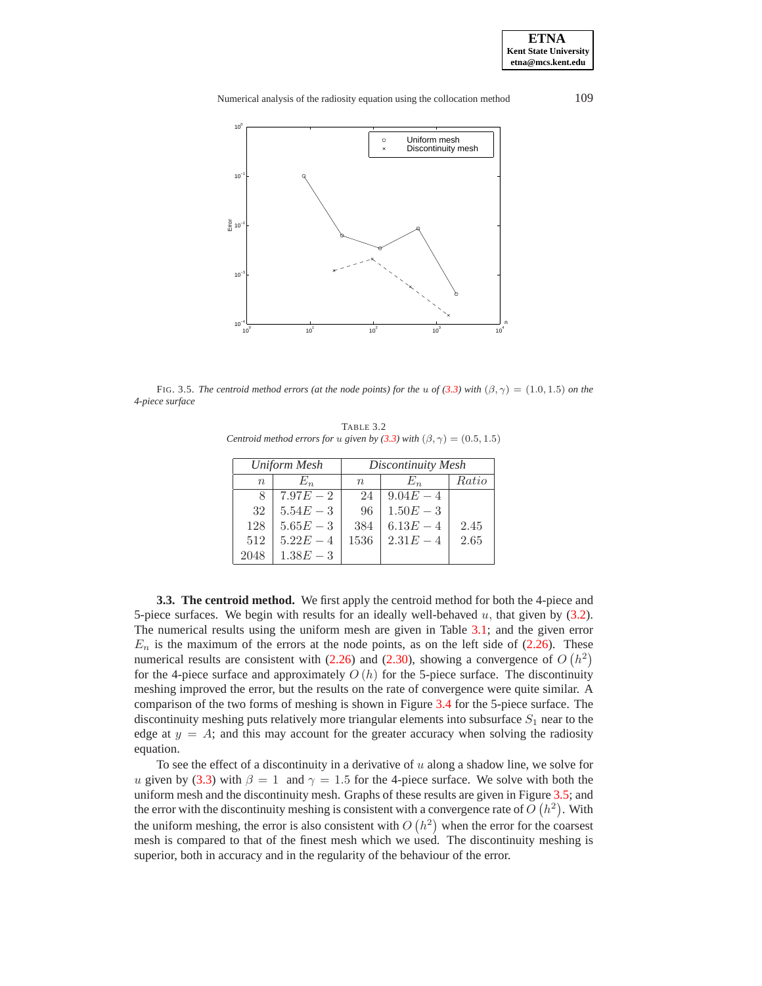Numerical analysis of the radiosity equation using the collocation method 109



<span id="page-15-1"></span><span id="page-15-0"></span>FIG. 3.5. *The centroid method errors (at the node points) for the* u of [\(3.3\)](#page-13-2) with  $(\beta, \gamma) = (1.0, 1.5)$  on the *4-piece surface*

TABLE 3.2 *Centroid method errors for u given by* [\(3.3\)](#page-13-2) *with*  $(\beta, \gamma) = (0.5, 1.5)$ 

|      | Uniform Mesh | Discontinuity Mesh |             |       |  |
|------|--------------|--------------------|-------------|-------|--|
| n    | $E_n$        | $n_{\rm s}$        | $E_n$       | Ratio |  |
| 8    | $7.97E - 2$  | 24                 | $9.04E - 4$ |       |  |
| 32   | $5.54E - 3$  | 96                 | $1.50E - 3$ |       |  |
| 128  | $5.65E - 3$  | 384                | $6.13E - 4$ | 2.45  |  |
| 512  | $5.22E - 4$  | 1536               | $2.31E - 4$ | 2.65  |  |
| 2048 | $1.38E - 3$  |                    |             |       |  |

**3.3. The centroid method.** We first apply the centroid method for both the 4-piece and 5-piece surfaces. We begin with results for an ideally well-behaved  $u$ , that given by [\(3.2\)](#page-13-1). The numerical results using the uniform mesh are given in Table [3.1;](#page-14-0) and the given error  $E_n$  is the maximum of the errors at the node points, as on the left side of [\(2.26\)](#page-6-2). These numerical results are consistent with [\(2.26\)](#page-6-2) and [\(2.30\)](#page-7-3), showing a convergence of  $O(h^2)$ for the 4-piece surface and approximately  $O(h)$  for the 5-piece surface. The discontinuity meshing improved the error, but the results on the rate of convergence were quite similar. A comparison of the two forms of meshing is shown in Figure [3.4](#page-14-1) for the 5-piece surface. The discontinuity meshing puts relatively more triangular elements into subsurface  $S_1$  near to the edge at  $y = A$ ; and this may account for the greater accuracy when solving the radiosity equation.

To see the effect of a discontinuity in a derivative of  $u$  along a shadow line, we solve for u given by [\(3.3\)](#page-13-2) with  $\beta = 1$  and  $\gamma = 1.5$  for the 4-piece surface. We solve with both the uniform mesh and the discontinuity mesh. Graphs of these results are given in Figure [3.5;](#page-15-0) and the error with the discontinuity meshing is consistent with a convergence rate of  $O(h^2)$ . With the uniform meshing, the error is also consistent with  $O(h^2)$  when the error for the coarsest mesh is compared to that of the finest mesh which we used. The discontinuity meshing is superior, both in accuracy and in the regularity of the behaviour of the error.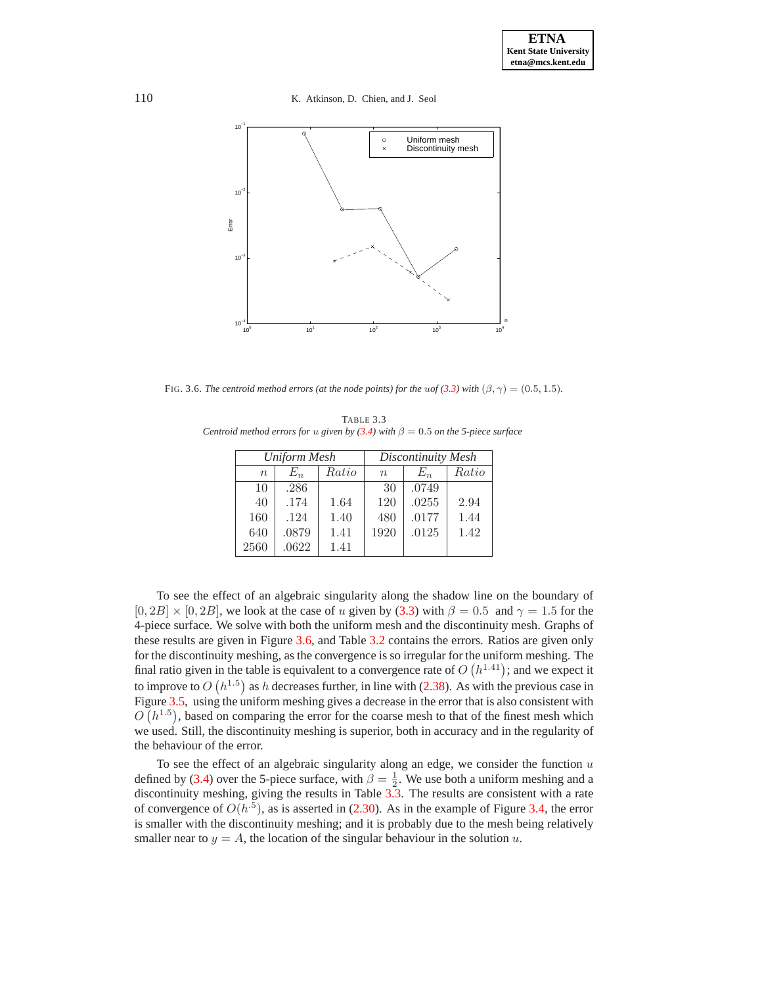110 K. Atkinson, D. Chien, and J. Seol



<span id="page-16-1"></span><span id="page-16-0"></span>FIG. 3.6. *The centroid method errors (at the node points) for the uof [\(3.3\)](#page-13-2)* with  $(\beta, \gamma) = (0.5, 1.5)$ *.* 

TABLE 3.3 *Centroid method errors for u given by [\(3.4\)](#page-14-2)* with  $\beta = 0.5$  *on the 5-piece surface* 

|             | Uniform Mesh |       | Discontinuity Mesh |       |       |  |
|-------------|--------------|-------|--------------------|-------|-------|--|
| $n_{\rm c}$ | $E_n$        | Ratio | $n_{\rm c}$        | $E_n$ | Ratio |  |
| 10          | .286         |       | 30                 | .0749 |       |  |
| 40          | .174         | 1.64  | 120                | .0255 | 2.94  |  |
| 160         | .124         | 1.40  | 480                | .0177 | 1.44  |  |
| 640         | .0879        | 1.41  | 1920               | .0125 | 1.42  |  |
| 2560        | .0622        | 1.41  |                    |       |       |  |

To see the effect of an algebraic singularity along the shadow line on the boundary of  $[0, 2B] \times [0, 2B]$ , we look at the case of u given by [\(3.3\)](#page-13-2) with  $\beta = 0.5$  and  $\gamma = 1.5$  for the 4-piece surface. We solve with both the uniform mesh and the discontinuity mesh. Graphs of these results are given in Figure [3.6,](#page-16-0) and Table [3.2](#page-15-1) contains the errors. Ratios are given only for the discontinuity meshing, as the convergence is so irregular for the uniform meshing. The final ratio given in the table is equivalent to a convergence rate of  $O(h^{1.41})$ ; and we expect it to improve to  $O(h^{1.5})$  as h decreases further, in line with [\(2.38\)](#page-9-1). As with the previous case in Figure [3.5,](#page-15-0) using the uniform meshing gives a decrease in the error that is also consistent with  $O(n^{1.5})$ , based on comparing the error for the coarse mesh to that of the finest mesh which we used. Still, the discontinuity meshing is superior, both in accuracy and in the regularity of the behaviour of the error.

To see the effect of an algebraic singularity along an edge, we consider the function  $u$ defined by [\(3.4\)](#page-14-2) over the 5-piece surface, with  $\beta = \frac{1}{2}$ . We use both a uniform meshing and a discontinuity meshing, giving the results in Table  $3.\overline{3}$ . The results are consistent with a rate of convergence of  $O(h^{5})$ , as is asserted in [\(2.30\)](#page-7-3). As in the example of Figure [3.4,](#page-14-1) the error is smaller with the discontinuity meshing; and it is probably due to the mesh being relatively smaller near to  $y = A$ , the location of the singular behaviour in the solution u.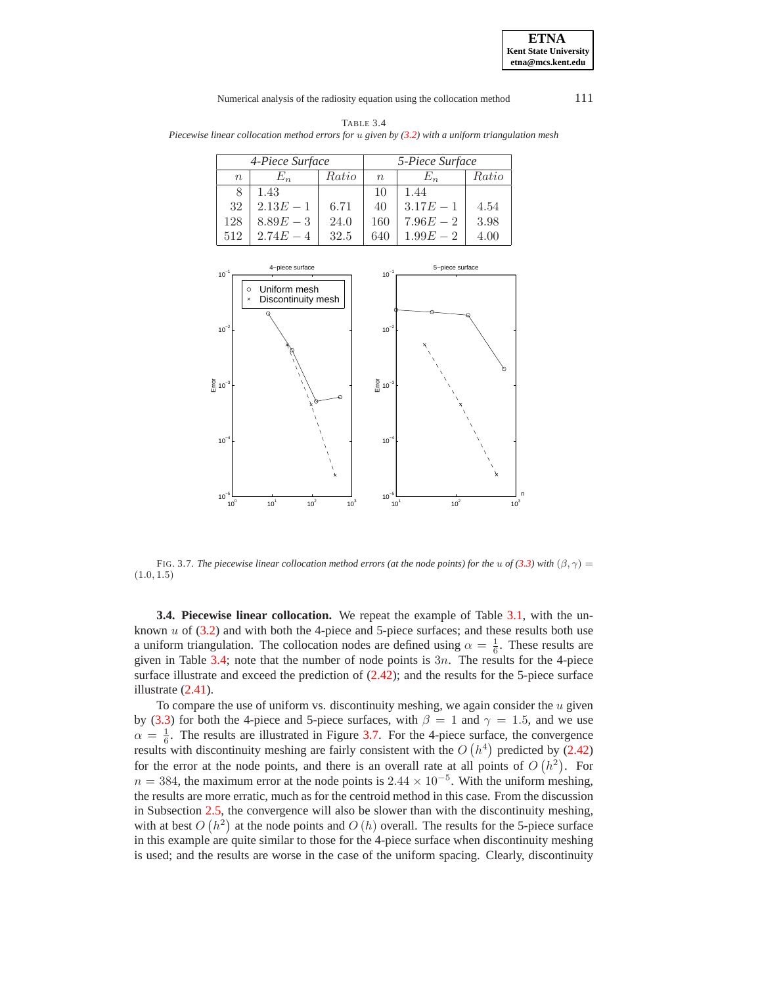#### **ETNA Kent State University etna@mcs.kent.edu**

#### Numerical analysis of the radiosity equation using the collocation method 111

<span id="page-17-1"></span>TABLE 3.4 *Piecewise linear collocation method errors for* u *given by [\(3.2\)](#page-13-1) with a uniform triangulation mesh*

|           | 4-Piece Surface |       | 5-Piece Surface |             |       |
|-----------|-----------------|-------|-----------------|-------------|-------|
| $n_{\rm}$ | $E_n \$         | Ratio | $n_{\rm c}$     | $E_n$       | Ratio |
| 8         | 1.43            |       | 10              | 1.44        |       |
| 32        | $2.13E - 1$     | 6.71  | 40              | $3.17E - 1$ | 4.54  |
| 128       | $8.89E - 3$     | 24.0  | 160             | $7.96E - 2$ | 3.98  |
| 512       | 2.74E           | 32.5  | 640             | 1.99E       | 4.00  |



<span id="page-17-0"></span>FIG. 3.7. *The piecewise linear collocation method errors (at the node points) for the* u of [\(3.3\)](#page-13-2) with  $(\beta, \gamma)$  = (1.0, 1.5)

**3.4. Piecewise linear collocation.** We repeat the example of Table [3.1,](#page-14-0) with the unknown  $u$  of  $(3.2)$  and with both the 4-piece and 5-piece surfaces; and these results both use a uniform triangulation. The collocation nodes are defined using  $\alpha = \frac{1}{6}$ . These results are given in Table [3.4;](#page-17-1) note that the number of node points is  $3n$ . The results for the 4-piece surface illustrate and exceed the prediction of  $(2.42)$ ; and the results for the 5-piece surface illustrate [\(2.41\)](#page-10-0).

To compare the use of uniform vs. discontinuity meshing, we again consider the  $u$  given by [\(3.3\)](#page-13-2) for both the 4-piece and 5-piece surfaces, with  $\beta = 1$  and  $\gamma = 1.5$ , and we use  $\alpha = \frac{1}{6}$ . The results are illustrated in Figure [3.7.](#page-17-0) For the 4-piece surface, the convergence results with discontinuity meshing are fairly consistent with the  $O(h^4)$  predicted by [\(2.42\)](#page-10-1) for the error at the node points, and there is an overall rate at all points of  $O(h^2)$ . For  $n = 384$ , the maximum error at the node points is  $2.44 \times 10^{-5}$ . With the uniform meshing, the results are more erratic, much as for the centroid method in this case. From the discussion in Subsection [2.5,](#page-9-2) the convergence will also be slower than with the discontinuity meshing, with at best  $O(h^2)$  at the node points and  $O(h)$  overall. The results for the 5-piece surface in this example are quite similar to those for the 4-piece surface when discontinuity meshing is used; and the results are worse in the case of the uniform spacing. Clearly, discontinuity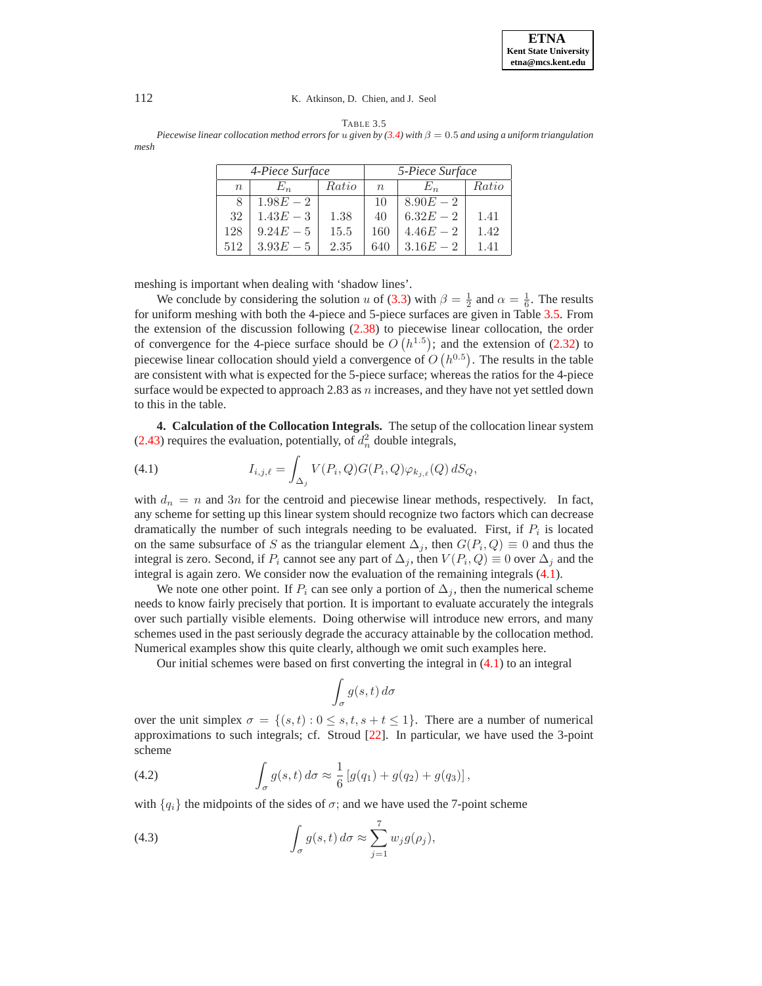<span id="page-18-1"></span>*Piecewise linear collocation method errors for* u given by  $(3.4)$  with  $\beta = 0.5$  and using a uniform triangulation *mesh*

|        | 4-Piece Surface |       | 5-Piece Surface |             |       |
|--------|-----------------|-------|-----------------|-------------|-------|
| $\, n$ | $E_n$           | Ratio | $n_{\rm c}$     | $E_n$       | Ratio |
|        | $1.98E - 2$     |       | 10              | $8.90E - 2$ |       |
| 32     | $1.43E - 3$     | 1.38  | 40              | $6.32E - 2$ | 1.41  |
| 128    | $9.24E - 5$     | 15.5  | 160             | $4.46E - 2$ | 1.42  |
| 512    | 3.93E<br>$-5$   | 2.35  | 640             | $3.16E - 2$ | 1.41  |

meshing is important when dealing with 'shadow lines'.

We conclude by considering the solution u of [\(3.3\)](#page-13-2) with  $\beta = \frac{1}{2}$  and  $\alpha = \frac{1}{6}$ . The results for uniform meshing with both the 4-piece and 5-piece surfaces are given in Table [3.5.](#page-18-1) From the extension of the discussion following [\(2.38\)](#page-9-1) to piecewise linear collocation, the order of convergence for the 4-piece surface should be  $O(n^{1.5})$ ; and the extension of [\(2.32\)](#page-7-2) to piecewise linear collocation should yield a convergence of  $O(n^{0.5})$ . The results in the table are consistent with what is expected for the 5-piece surface; whereas the ratios for the 4-piece surface would be expected to approach 2.83 as  $n$  increases, and they have not yet settled down to this in the table.

<span id="page-18-0"></span>**4. Calculation of the Collocation Integrals.** The setup of the collocation linear system [\(2.43\)](#page-10-2) requires the evaluation, potentially, of  $d_n^2$  double integrals,

<span id="page-18-2"></span>(4.1) 
$$
I_{i,j,\ell} = \int_{\Delta_j} V(P_i, Q) G(P_i, Q) \varphi_{k_{j,\ell}}(Q) dS_Q,
$$

with  $d_n = n$  and  $3n$  for the centroid and piecewise linear methods, respectively. In fact, any scheme for setting up this linear system should recognize two factors which can decrease dramatically the number of such integrals needing to be evaluated. First, if  $P_i$  is located on the same subsurface of S as the triangular element  $\Delta_i$ , then  $G(P_i, Q) \equiv 0$  and thus the integral is zero. Second, if  $P_i$  cannot see any part of  $\Delta_i$ , then  $V(P_i, Q) \equiv 0$  over  $\Delta_i$  and the integral is again zero. We consider now the evaluation of the remaining integrals [\(4.1\)](#page-18-2).

We note one other point. If  $P_i$  can see only a portion of  $\Delta_i$ , then the numerical scheme needs to know fairly precisely that portion. It is important to evaluate accurately the integrals over such partially visible elements. Doing otherwise will introduce new errors, and many schemes used in the past seriously degrade the accuracy attainable by the collocation method. Numerical examples show this quite clearly, although we omit such examples here.

Our initial schemes were based on first converting the integral in  $(4.1)$  to an integral

$$
\int_{\sigma} g(s, t) \, d\sigma
$$

over the unit simplex  $\sigma = \{(s, t): 0 \leq s, t, s + t \leq 1\}$ . There are a number of numerical approximations to such integrals; cf. Stroud [\[22\]](#page-26-9). In particular, we have used the 3-point scheme

<span id="page-18-3"></span>(4.2) 
$$
\int_{\sigma} g(s,t) d\sigma \approx \frac{1}{6} [g(q_1) + g(q_2) + g(q_3)],
$$

with  ${q_i}$  the midpoints of the sides of  $\sigma$ ; and we have used the 7-point scheme

<span id="page-18-4"></span>(4.3) 
$$
\int_{\sigma} g(s,t) d\sigma \approx \sum_{j=1}^{7} w_j g(\rho_j),
$$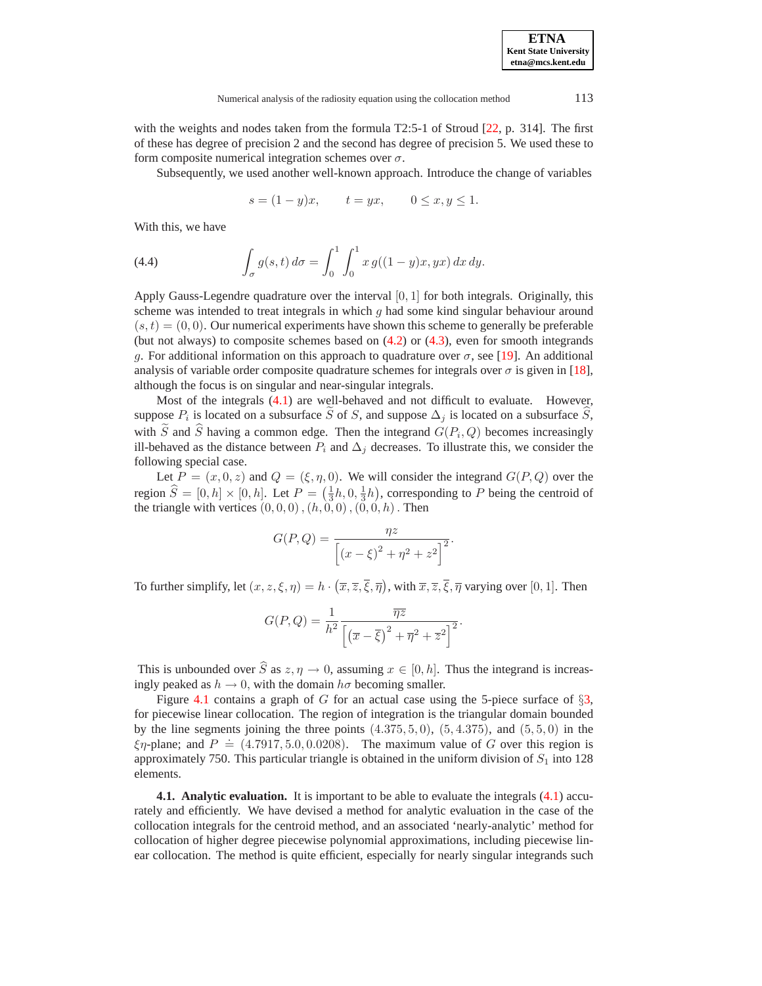| <b>ETNA</b>                  |
|------------------------------|
| <b>Kent State University</b> |
| etna@mcs.kent.edu            |

with the weights and nodes taken from the formula T2:5-1 of Stroud [\[22,](#page-26-9) p. 314]. The first of these has degree of precision 2 and the second has degree of precision 5. We used these to form composite numerical integration schemes over  $\sigma$ .

Subsequently, we used another well-known approach. Introduce the change of variables

$$
s = (1 - y)x
$$
,  $t = yx$ ,  $0 \le x, y \le 1$ .

With this, we have

<span id="page-19-1"></span>(4.4) 
$$
\int_{\sigma} g(s,t) d\sigma = \int_{0}^{1} \int_{0}^{1} x g((1-y)x, yx) dx dy.
$$

Apply Gauss-Legendre quadrature over the interval  $[0, 1]$  for both integrals. Originally, this scheme was intended to treat integrals in which  $q$  had some kind singular behaviour around  $(s, t) = (0, 0)$ . Our numerical experiments have shown this scheme to generally be preferable (but not always) to composite schemes based on  $(4.2)$  or  $(4.3)$ , even for smooth integrands g. For additional information on this approach to quadrature over  $\sigma$ , see [\[19\]](#page-26-10). An additional analysis of variable order composite quadrature schemes for integrals over  $\sigma$  is given in [\[18\]](#page-26-11), although the focus is on singular and near-singular integrals.

Most of the integrals [\(4.1\)](#page-18-2) are well-behaved and not difficult to evaluate. However, suppose  $P_i$  is located on a subsurface  $\tilde{S}$  of S, and suppose  $\Delta_j$  is located on a subsurface  $\tilde{S}$ , with  $\widetilde{S}$  and  $\widehat{S}$  having a common edge. Then the integrand  $G(P_i, Q)$  becomes increasingly ill-behaved as the distance between  $P_i$  and  $\Delta_i$  decreases. To illustrate this, we consider the following special case.

Let  $P = (x, 0, z)$  and  $Q = (\xi, \eta, 0)$ . We will consider the integrand  $G(P, Q)$  over the region  $\hat{S} = [0, h] \times [0, h]$ . Let  $P = (\frac{1}{3}h, 0, \frac{1}{3}h)$ , corresponding to P being the centroid of the triangle with vertices  $(0, 0, 0)$ ,  $(h, 0, 0)$ ,  $(0, 0, h)$ . Then

$$
G(P,Q) = \frac{\eta z}{\left[ (x-\xi)^2 + \eta^2 + z^2 \right]^2}.
$$

To further simplify, let  $(x, z, \xi, \eta) = h \cdot (\overline{x}, \overline{z}, \overline{\xi}, \overline{\eta})$ , with  $\overline{x}, \overline{z}, \overline{\xi}, \overline{\eta}$  varying over [0, 1]. Then

$$
G(P,Q) = \frac{1}{h^2} \frac{\overline{\eta z}}{\left[ \left( \overline{x} - \overline{\xi} \right)^2 + \overline{\eta}^2 + \overline{z}^2 \right]^2}.
$$

This is unbounded over  $\widehat{S}$  as  $z, \eta \to 0$ , assuming  $x \in [0, h]$ . Thus the integrand is increasingly peaked as  $h \to 0$ , with the domain  $h\sigma$  becoming smaller.

Figure [4.1](#page-1-0) contains a graph of G for an actual case using the 5-piece surface of  $\S$ [3,](#page-11-0) for piecewise linear collocation. The region of integration is the triangular domain bounded by the line segments joining the three points  $(4.375, 5, 0)$ ,  $(5, 4.375)$ , and  $(5, 5, 0)$  in the  $\xi \eta$ -plane; and  $P = (4.7917, 5.0, 0.0208)$ . The maximum value of G over this region is approximately 750. This particular triangle is obtained in the uniform division of  $S_1$  into 128 elements.

<span id="page-19-0"></span>**4.1. Analytic evaluation.** It is important to be able to evaluate the integrals [\(4.1\)](#page-18-2) accurately and efficiently. We have devised a method for analytic evaluation in the case of the collocation integrals for the centroid method, and an associated 'nearly-analytic' method for collocation of higher degree piecewise polynomial approximations, including piecewise linear collocation. The method is quite efficient, especially for nearly singular integrands such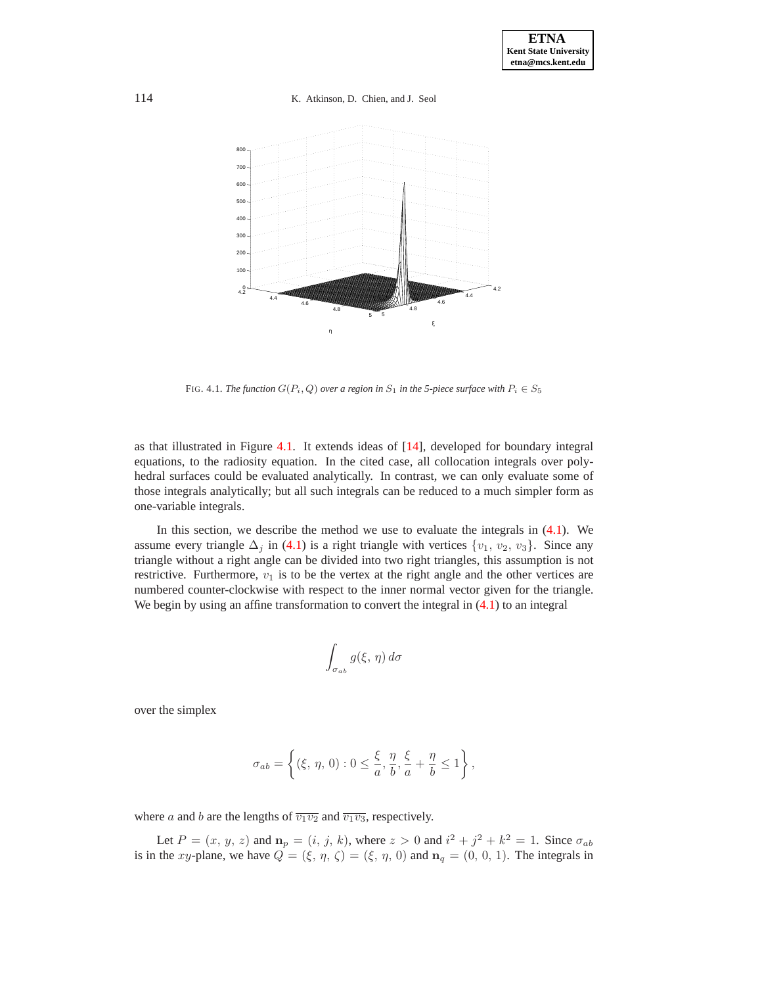114 K. Atkinson, D. Chien, and J. Seol



FIG. 4.1. *The function*  $G(P_i, Q)$  *over a region in*  $S_1$  *in the 5-piece surface with*  $P_i \in S_5$ 

as that illustrated in Figure [4.1.](#page-1-0) It extends ideas of [\[14\]](#page-26-12), developed for boundary integral equations, to the radiosity equation. In the cited case, all collocation integrals over polyhedral surfaces could be evaluated analytically. In contrast, we can only evaluate some of those integrals analytically; but all such integrals can be reduced to a much simpler form as one-variable integrals.

In this section, we describe the method we use to evaluate the integrals in [\(4.1\)](#page-18-2). We assume every triangle  $\Delta_i$  in [\(4.1\)](#page-18-2) is a right triangle with vertices  $\{v_1, v_2, v_3\}$ . Since any triangle without a right angle can be divided into two right triangles, this assumption is not restrictive. Furthermore,  $v_1$  is to be the vertex at the right angle and the other vertices are numbered counter-clockwise with respect to the inner normal vector given for the triangle. We begin by using an affine transformation to convert the integral in  $(4.1)$  to an integral

$$
\int_{\sigma_{ab}} g(\xi, \eta) d\sigma
$$

over the simplex

$$
\sigma_{ab} = \left\{ (\xi, \, \eta, \, 0) : 0 \le \frac{\xi}{a}, \frac{\eta}{b}, \frac{\xi}{a} + \frac{\eta}{b} \le 1 \right\},\,
$$

where a and b are the lengths of  $\overline{v_1v_2}$  and  $\overline{v_1v_3}$ , respectively.

Let  $P = (x, y, z)$  and  $\mathbf{n}_p = (i, j, k)$ , where  $z > 0$  and  $i^2 + j^2 + k^2 = 1$ . Since  $\sigma_{ab}$ is in the xy-plane, we have  $Q = (\xi, \eta, \zeta) = (\xi, \eta, 0)$  and  $\mathbf{n}_q = (0, 0, 1)$ . The integrals in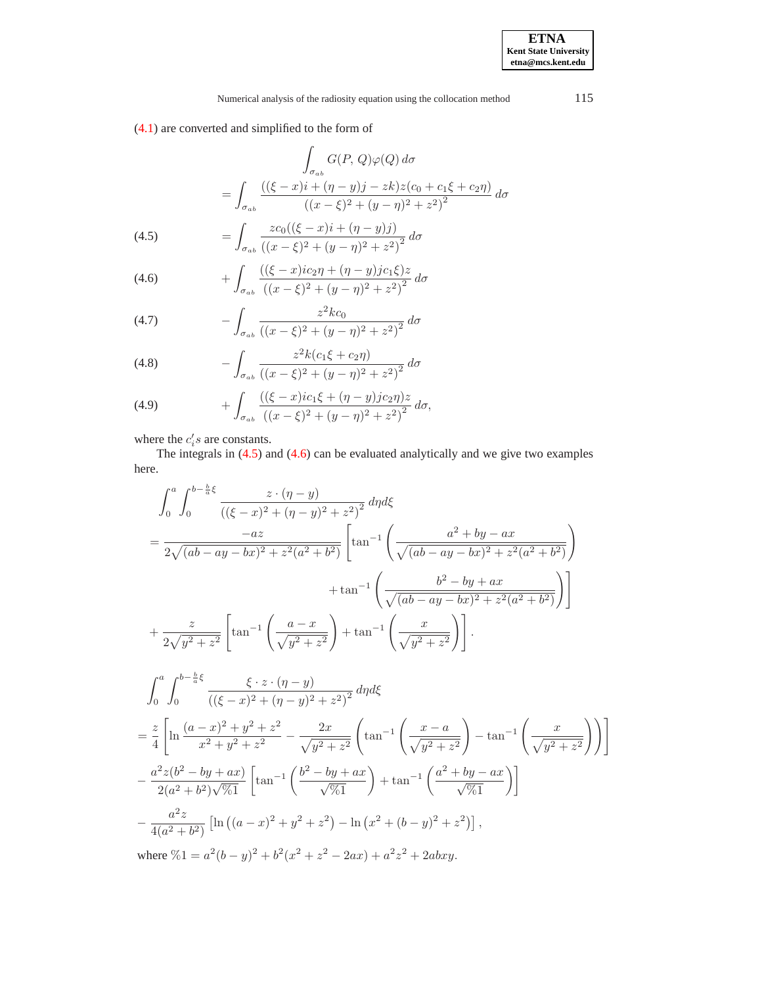[\(4.1\)](#page-18-2) are converted and simplified to the form of

$$
\int_{\sigma_{ab}} G(P, Q)\varphi(Q) d\sigma
$$
\n
$$
= \int_{\sigma_{ab}} \frac{((\xi - x)i + (\eta - y)j - zk)z(c_0 + c_1\xi + c_2\eta)}{((x - \xi)^2 + (y - \eta)^2 + z^2)^2} d\sigma
$$
\n(4.5)\n
$$
= \int_{\sigma_{ab}} z c_0 ((\xi - x)i + (\eta - y)j) d\sigma
$$

<span id="page-21-0"></span>(4.5) 
$$
= \int_{\sigma_{ab}} \frac{zc_0((\zeta - x)t + (\eta - y))j}{((x - \xi)^2 + (y - \eta)^2 + z^2)^2} d\sigma
$$

<span id="page-21-1"></span>(4.6) 
$$
+ \int_{\sigma_{ab}} \frac{((\xi - x)ic_2\eta + (\eta - y)jc_1\xi)z}{((x - \xi)^2 + (y - \eta)^2 + z^2)^2} d\sigma
$$

<span id="page-21-2"></span>(4.7) 
$$
- \int_{\sigma_{ab}} \frac{z^2 k c_0}{((x-\xi)^2 + (y-\eta)^2 + z^2)^2} d\sigma
$$

<span id="page-21-3"></span>(4.8) 
$$
- \int_{\sigma_{ab}} \frac{z^2 k (c_1 \xi + c_2 \eta)}{\left( (x - \xi)^2 + (y - \eta)^2 + z^2 \right)^2} d\sigma
$$

<span id="page-21-4"></span>(4.9) 
$$
+ \int_{\sigma_{ab}} \frac{((\xi - x)ic_1\xi + (\eta - y)jc_2\eta)z}{((x - \xi)^2 + (y - \eta)^2 + z^2)^2} d\sigma,
$$

where the  $c_i$ 's are constants.

The integrals in [\(4.5\)](#page-21-0) and [\(4.6\)](#page-21-1) can be evaluated analytically and we give two examples here.

$$
\int_{0}^{a} \int_{0}^{b-\frac{b}{a}\xi} \frac{z \cdot (\eta - y)}{((\xi - x)^{2} + (\eta - y)^{2} + z^{2})^{2}} d\eta d\xi
$$
\n
$$
= \frac{-az}{2\sqrt{(ab - ay - bx)^{2} + z^{2}(a^{2} + b^{2})}} \left[ \tan^{-1} \left( \frac{a^{2} + by - ax}{\sqrt{(ab - ay - bx)^{2} + z^{2}(a^{2} + b^{2})}} \right) + \tan^{-1} \left( \frac{b^{2} - by + ax}{\sqrt{(ab - ay - bx)^{2} + z^{2}(a^{2} + b^{2})}} \right) \right]
$$
\n
$$
+ \frac{z}{2\sqrt{y^{2} + z^{2}}} \left[ \tan^{-1} \left( \frac{a - x}{\sqrt{y^{2} + z^{2}}} \right) + \tan^{-1} \left( \frac{x}{\sqrt{y^{2} + z^{2}}} \right) \right].
$$
\n
$$
\int_{0}^{a} \int_{0}^{b-\frac{b}{a}\xi} \frac{\xi \cdot z \cdot (\eta - y)}{((\xi - x)^{2} + (\eta - y)^{2} + z^{2})^{2}} d\eta d\xi
$$
\n
$$
= \frac{z}{4} \left[ \ln \frac{(a - x)^{2} + y^{2} + z^{2}}{x^{2} + y^{2} + z^{2}} - \frac{2x}{\sqrt{y^{2} + z^{2}}} \left( \tan^{-1} \left( \frac{x - a}{\sqrt{y^{2} + z^{2}}} \right) - \tan^{-1} \left( \frac{x}{\sqrt{y^{2} + z^{2}}} \right) \right) \right]
$$
\n
$$
- \frac{a^{2}z(b^{2} - by + ax)}{2(a^{2} + b^{2})\sqrt{61}} \left[ \tan^{-1} \left( \frac{b^{2} - by + ax}{\sqrt{61}} \right) + \tan^{-1} \left( \frac{a^{2} + by - ax}{\sqrt{61}} \right) \right]
$$
\n
$$
- \frac{a^{2}z}{4(a^{2} + b^{2})} \left[ \ln \left( (a - x)^{2} + y^{2} + z^{2} \right) - \ln \left( x^{2} + (b - y)^{2} + z^{2} \right) \right],
$$
\nwhere  $\% 1 = a^{2}(b - y)^{2} + b^{2}($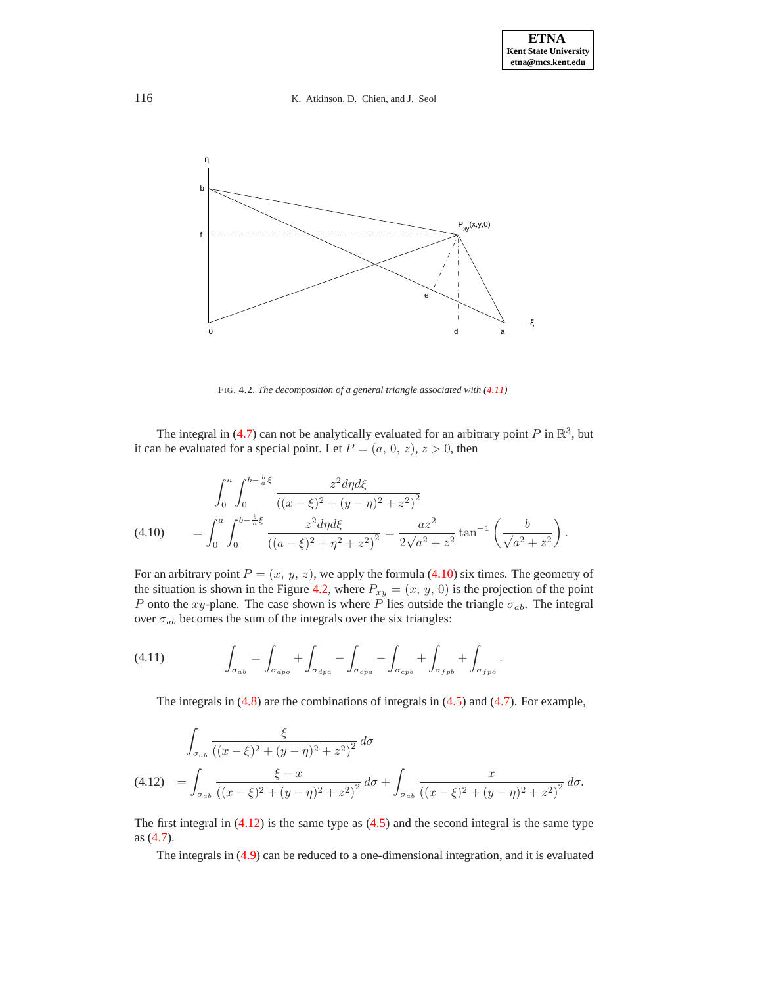

FIG. 4.2. *The decomposition of a general triangle associated with*  $(4.11)$ 

The integral in [\(4.7\)](#page-21-2) can not be analytically evaluated for an arbitrary point P in  $\mathbb{R}^3$ , but it can be evaluated for a special point. Let  $P = (a, 0, z), z > 0$ , then

$$
\int_0^a \int_0^{b - \frac{b}{a}\xi} \frac{z^2 d\eta d\xi}{\left((x - \xi)^2 + (y - \eta)^2 + z^2\right)^2}
$$
\n
$$
(4.10) \qquad = \int_0^a \int_0^{b - \frac{b}{a}\xi} \frac{z^2 d\eta d\xi}{\left((a - \xi)^2 + \eta^2 + z^2\right)^2} = \frac{az^2}{2\sqrt{a^2 + z^2}} \tan^{-1}\left(\frac{b}{\sqrt{a^2 + z^2}}\right).
$$

<span id="page-22-1"></span>For an arbitrary point  $P = (x, y, z)$ , we apply the formula [\(4.10\)](#page-22-1) six times. The geometry of the situation is shown in the Figure [4.2,](#page-12-0) where  $P_{xy} = (x, y, 0)$  is the projection of the point P onto the xy-plane. The case shown is where P lies outside the triangle  $\sigma_{ab}$ . The integral over  $\sigma_{ab}$  becomes the sum of the integrals over the six triangles:

<span id="page-22-0"></span>
$$
(4.11) \qquad \qquad \int_{\sigma_{ab}} = \int_{\sigma_{dpo}} + \int_{\sigma_{dpa}} - \int_{\sigma_{epa}} - \int_{\sigma_{epb}} + \int_{\sigma_{fpb}} + \int_{\sigma_{fpo}}.
$$

The integrals in [\(4.8\)](#page-21-3) are the combinations of integrals in [\(4.5\)](#page-21-0) and [\(4.7\)](#page-21-2). For example,

$$
\int_{\sigma_{ab}} \frac{\xi}{\left( (x-\xi)^2 + (y-\eta)^2 + z^2 \right)^2} d\sigma
$$
\n
$$
(4.12) \quad = \int_{\sigma_{ab}} \frac{\xi - x}{\left( (x-\xi)^2 + (y-\eta)^2 + z^2 \right)^2} d\sigma + \int_{\sigma_{ab}} \frac{x}{\left( (x-\xi)^2 + (y-\eta)^2 + z^2 \right)^2} d\sigma.
$$

<span id="page-22-2"></span>The first integral in [\(4.12\)](#page-22-2) is the same type as [\(4.5\)](#page-21-0) and the second integral is the same type as [\(4.7\)](#page-21-2).

The integrals in [\(4.9\)](#page-21-4) can be reduced to a one-dimensional integration, and it is evaluated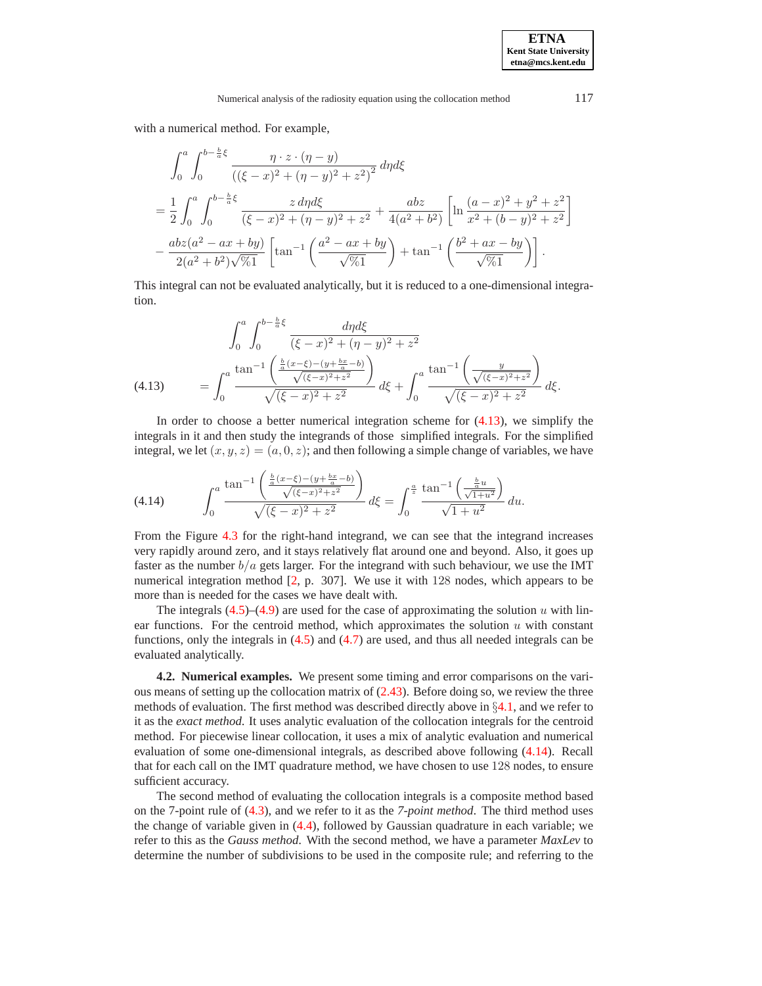with a numerical method. For example,

$$
\int_0^a \int_0^{b - \frac{b}{a}\xi} \frac{\eta \cdot z \cdot (\eta - y)}{\left( (\xi - x)^2 + (\eta - y)^2 + z^2 \right)^2} d\eta d\xi
$$
  
= 
$$
\frac{1}{2} \int_0^a \int_0^{b - \frac{b}{a}\xi} \frac{z d\eta d\xi}{(\xi - x)^2 + (\eta - y)^2 + z^2} + \frac{abz}{4(a^2 + b^2)} \left[ \ln \frac{(a - x)^2 + y^2 + z^2}{x^2 + (b - y)^2 + z^2} \right]
$$
  
= 
$$
\frac{abz(a^2 - ax + by)}{2(a^2 + b^2)\sqrt{\%1}} \left[ \tan^{-1} \left( \frac{a^2 - ax + by}{\sqrt{\%1}} \right) + \tan^{-1} \left( \frac{b^2 + ax - by}{\sqrt{\%1}} \right) \right].
$$

This integral can not be evaluated analytically, but it is reduced to a one-dimensional integration.

$$
\int_0^a \int_0^{b-\frac{b}{a}\xi} \frac{d\eta d\xi}{(\xi - x)^2 + (\eta - y)^2 + z^2}
$$
\n
$$
(4.13) \qquad = \int_0^a \frac{\tan^{-1}\left(\frac{\frac{b}{a}(x-\xi) - (y + \frac{bx}{a} - b)}{\sqrt{(\xi - x)^2 + z^2}}\right)}{\sqrt{(\xi - x)^2 + z^2}} d\xi + \int_0^a \frac{\tan^{-1}\left(\frac{y}{\sqrt{(\xi - x)^2 + z^2}}\right)}{\sqrt{(\xi - x)^2 + z^2}} d\xi.
$$

<span id="page-23-0"></span>In order to choose a better numerical integration scheme for  $(4.13)$ , we simplify the integrals in it and then study the integrands of those simplified integrals. For the simplified integral, we let  $(x, y, z)=(a, 0, z)$ ; and then following a simple change of variables, we have

<span id="page-23-1"></span>(4.14) 
$$
\int_0^a \frac{\tan^{-1}\left(\frac{\frac{b}{a}(x-\xi)-(y+\frac{bx}{a}-b)}{\sqrt{(\xi-x)^2+z^2}}\right)}{\sqrt{(\xi-x)^2+z^2}} d\xi = \int_0^{\frac{a}{z}} \frac{\tan^{-1}\left(\frac{\frac{b}{a}u}{\sqrt{1+u^2}}\right)}{\sqrt{1+u^2}} du.
$$

From the Figure [4.3](#page-13-0) for the right-hand integrand, we can see that the integrand increases very rapidly around zero, and it stays relatively flat around one and beyond. Also, it goes up faster as the number  $b/a$  gets larger. For the integrand with such behaviour, we use the IMT numerical integration method [\[2,](#page-25-3) p. 307]. We use it with 128 nodes, which appears to be more than is needed for the cases we have dealt with.

The integrals  $(4.5)$ – $(4.9)$  are used for the case of approximating the solution u with linear functions. For the centroid method, which approximates the solution  $u$  with constant functions, only the integrals in [\(4.5\)](#page-21-0) and [\(4.7\)](#page-21-2) are used, and thus all needed integrals can be evaluated analytically.

**4.2. Numerical examples.** We present some timing and error comparisons on the various means of setting up the collocation matrix of  $(2.43)$ . Before doing so, we review the three methods of evaluation. The first method was described directly above in  $\S 4.1$ , and we refer to it as the *exact method*. It uses analytic evaluation of the collocation integrals for the centroid method. For piecewise linear collocation, it uses a mix of analytic evaluation and numerical evaluation of some one-dimensional integrals, as described above following [\(4.14\)](#page-23-1). Recall that for each call on the IMT quadrature method, we have chosen to use 128 nodes, to ensure sufficient accuracy.

The second method of evaluating the collocation integrals is a composite method based on the 7-point rule of [\(4.3\)](#page-18-4), and we refer to it as the *7-point method*. The third method uses the change of variable given in [\(4.4\)](#page-19-1), followed by Gaussian quadrature in each variable; we refer to this as the *Gauss method*. With the second method, we have a parameter *MaxLev* to determine the number of subdivisions to be used in the composite rule; and referring to the

**ETNA Kent State University etna@mcs.kent.edu**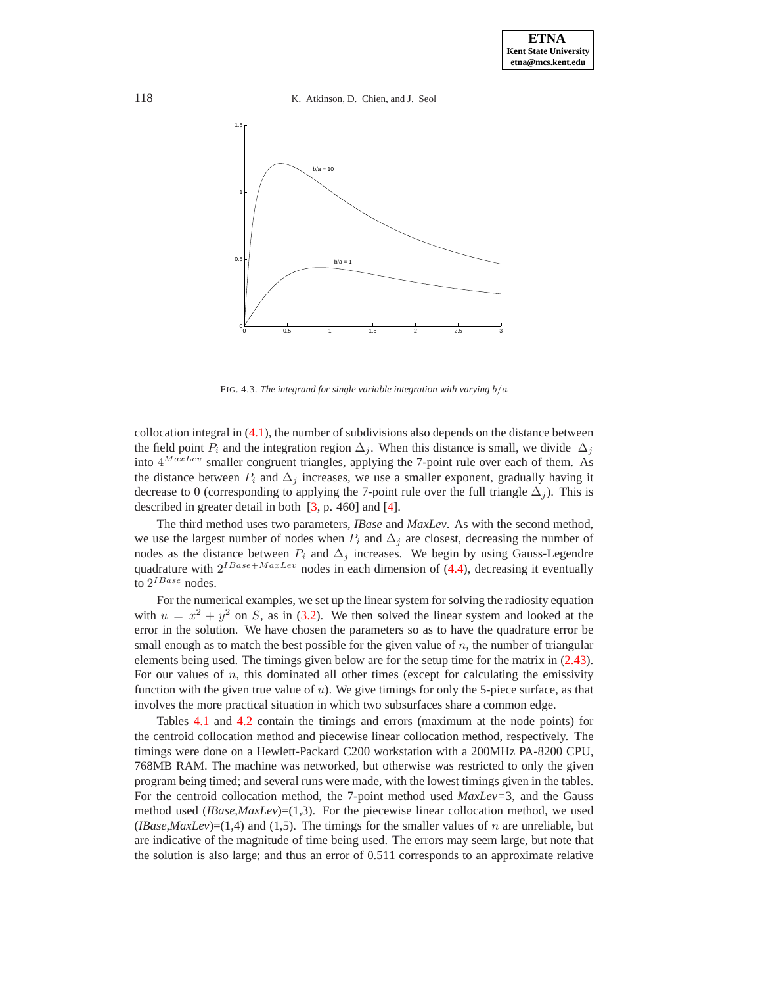118 K. Atkinson, D. Chien, and J. Seol



FIG. 4.3. *The integrand for single variable integration with varying* b/a

collocation integral in [\(4.1\)](#page-18-2), the number of subdivisions also depends on the distance between the field point  $P_i$  and the integration region  $\Delta_i$ . When this distance is small, we divide  $\Delta_i$ into  $4^{MaxLev}$  smaller congruent triangles, applying the 7-point rule over each of them. As the distance between  $P_i$  and  $\Delta_j$  increases, we use a smaller exponent, gradually having it decrease to 0 (corresponding to applying the 7-point rule over the full triangle  $\Delta_i$ ). This is described in greater detail in both [\[3,](#page-25-0) p. 460] and [\[4\]](#page-25-1).

The third method uses two parameters, *IBase* and *MaxLev*. As with the second method, we use the largest number of nodes when  $P_i$  and  $\Delta_j$  are closest, decreasing the number of nodes as the distance between  $P_i$  and  $\Delta_j$  increases. We begin by using Gauss-Legendre quadrature with  $2^{IBase+MaxLev}$  nodes in each dimension of [\(4.4\)](#page-19-1), decreasing it eventually to  $2^{IBase}$  nodes.

For the numerical examples, we set up the linear system for solving the radiosity equation with  $u = x^2 + y^2$  on S, as in [\(3.2\)](#page-13-1). We then solved the linear system and looked at the error in the solution. We have chosen the parameters so as to have the quadrature error be small enough as to match the best possible for the given value of  $n$ , the number of triangular elements being used. The timings given below are for the setup time for the matrix in [\(2.43\)](#page-10-2). For our values of  $n$ , this dominated all other times (except for calculating the emissivity function with the given true value of  $u$ ). We give timings for only the 5-piece surface, as that involves the more practical situation in which two subsurfaces share a common edge.

Tables [4.1](#page-14-0) and [4.2](#page-15-1) contain the timings and errors (maximum at the node points) for the centroid collocation method and piecewise linear collocation method, respectively. The timings were done on a Hewlett-Packard C200 workstation with a 200MHz PA-8200 CPU, 768MB RAM. The machine was networked, but otherwise was restricted to only the given program being timed; and several runs were made, with the lowest timings given in the tables. For the centroid collocation method, the 7-point method used *MaxLev=*3, and the Gauss method used (*IBase,MaxLev*)=(1,3). For the piecewise linear collocation method, we used (*IBase,MaxLev*)=(1,4) and (1,5). The timings for the smaller values of n are unreliable, but are indicative of the magnitude of time being used. The errors may seem large, but note that the solution is also large; and thus an error of 0.511 corresponds to an approximate relative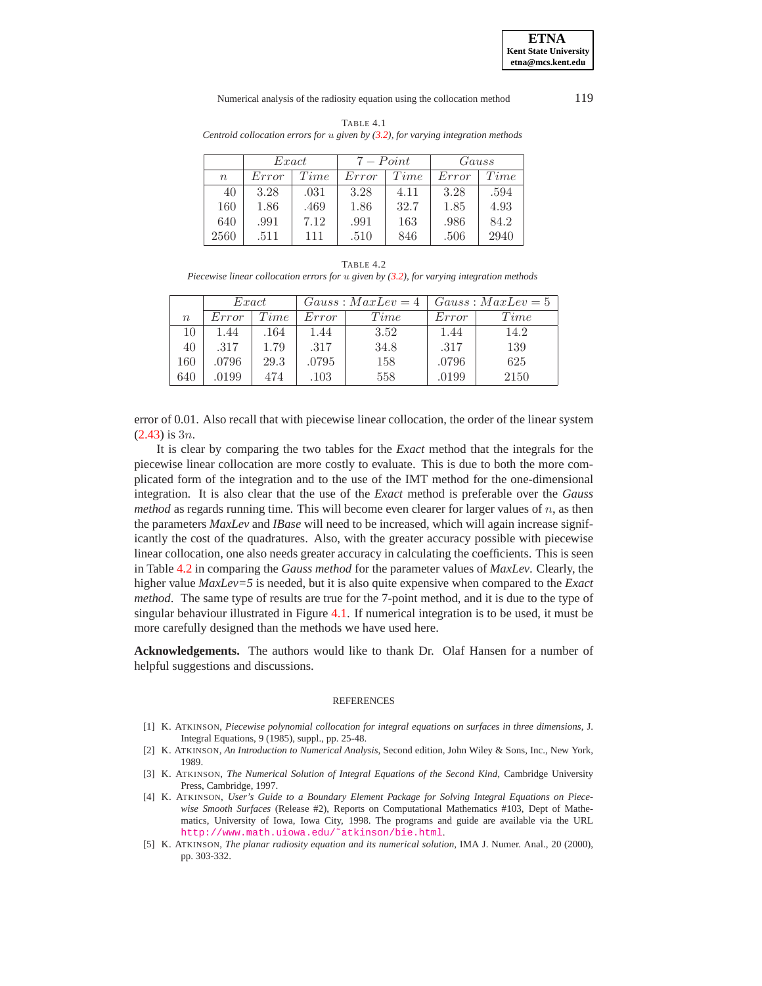**ETNA Kent State University etna@mcs.kent.edu**

#### Numerical analysis of the radiosity equation using the collocation method 119

|                                                                                     | TABLE 4.1 |  |  |
|-------------------------------------------------------------------------------------|-----------|--|--|
| Centroid collocation errors for $u$ given by (3.2), for varying integration methods |           |  |  |

|                  | Exact |      | $7 - Point$ |      | Gauss |      |
|------------------|-------|------|-------------|------|-------|------|
| $\boldsymbol{n}$ | Error | Time | Error       | Time | Error | Time |
| 40               | 3.28  | .031 | 3.28        | 4.11 | 3.28  | .594 |
| 160              | 1.86  | .469 | 1.86        | 32.7 | 1.85  | 4.93 |
| 640              | .991  | 7.12 | .991        | 163  | .986  | 84.2 |
| 2560             | .511  | 111  | .510        | 846  | .506  | 2940 |

TABLE 4.2 *Piecewise linear collocation errors for* u *given by [\(3.2\)](#page-13-1), for varying integration methods*

|                  | Exact |      | $Gauss: MaxLev = 4$ |      | $Gauss: MaxLev = 5$ |      |
|------------------|-------|------|---------------------|------|---------------------|------|
| $\boldsymbol{n}$ | Error | Time | Error               | Time | Error               | Time |
| 10               | 1.44  | .164 | 1.44                | 3.52 | 1.44                | 14.2 |
| 40               | .317  | 1.79 | .317                | 34.8 | .317                | 139  |
| 160              | .0796 | 29.3 | .0795               | 158  | .0796               | 625  |
| 640              | .0199 | 474  | .103                | 558  | .0199               | 2150 |

error of 0.01. Also recall that with piecewise linear collocation, the order of the linear system  $(2.43)$  is 3*n*.

It is clear by comparing the two tables for the *Exact* method that the integrals for the piecewise linear collocation are more costly to evaluate. This is due to both the more complicated form of the integration and to the use of the IMT method for the one-dimensional integration. It is also clear that the use of the *Exact* method is preferable over the *Gauss method* as regards running time. This will become even clearer for larger values of  $n$ , as then the parameters *MaxLev* and *IBase* will need to be increased, which will again increase significantly the cost of the quadratures. Also, with the greater accuracy possible with piecewise linear collocation, one also needs greater accuracy in calculating the coefficients. This is seen in Table [4.2](#page-15-1) in comparing the *Gauss method* for the parameter values of *MaxLev*. Clearly, the higher value *MaxLev=5* is needed, but it is also quite expensive when compared to the *Exact method*. The same type of results are true for the 7-point method, and it is due to the type of singular behaviour illustrated in Figure [4.1.](#page-1-0) If numerical integration is to be used, it must be more carefully designed than the methods we have used here.

**Acknowledgements.** The authors would like to thank Dr. Olaf Hansen for a number of helpful suggestions and discussions.

#### REFERENCES

- [1] K. ATKINSON, *Piecewise polynomial collocation for integral equations on surfaces in three dimensions*, J. Integral Equations, 9 (1985), suppl., pp. 25-48.
- <span id="page-25-3"></span>[2] K. ATKINSON, *An Introduction to Numerical Analysis*, Second edition, John Wiley & Sons, Inc., New York, 1989.
- <span id="page-25-0"></span>[3] K. ATKINSON, *The Numerical Solution of Integral Equations of the Second Kind*, Cambridge University Press, Cambridge, 1997.
- <span id="page-25-1"></span>[4] K. ATKINSON, *User's Guide to a Boundary Element Package for Solving Integral Equations on Piecewise Smooth Surfaces* (Release #2), Reports on Computational Mathematics #103, Dept of Mathematics, University of Iowa, Iowa City, 1998. The programs and guide are available via the URL [http://www.math.uiowa.edu/˜atkinson/bie.html](http://www.math.uiowa.edu/~atkinson/bie.html).
- <span id="page-25-2"></span>[5] K. ATKINSON, *The planar radiosity equation and its numerical solution*, IMA J. Numer. Anal., 20 (2000), pp. 303-332.